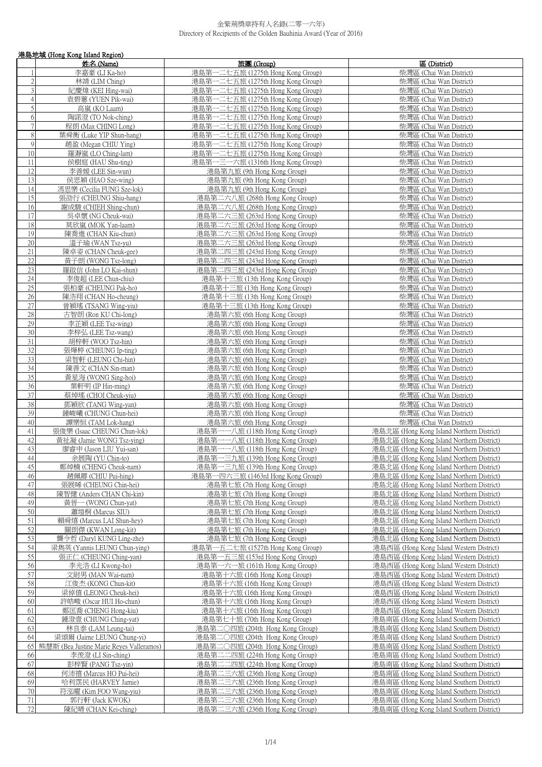|                           | 港島地域 (Hong Kong Island Region)                   |                                                                        |                                                                                        |
|---------------------------|--------------------------------------------------|------------------------------------------------------------------------|----------------------------------------------------------------------------------------|
|                           | 姓名 (Name)                                        | 旅團(Group)                                                              | 區 (District)                                                                           |
|                           | 李嘉豪 (LI Ka-ho)                                   | 港島第一二七五旅 (1275th Hong Kong Group)                                      | 柴灣區 (Chai Wan District)                                                                |
| $\sqrt{2}$                | 林靖 (LIM Ching)                                   | 港島第一二七五旅 (1275th Hong Kong Group)                                      | 柴灣區 (Chai Wan District)                                                                |
| $\mathfrak{Z}$            | 紀慶煌 (KEI Hing-wai)                               | 港島第一二七五旅 (1275th Hong Kong Group)                                      | 柴灣區 (Chai Wan District)                                                                |
| $\overline{4}$            | 袁碧蕙 (YUEN Pik-wai)                               | 港島第一二七五旅 (1275th Hong Kong Group)                                      | 柴灣區 (Chai Wan District)                                                                |
| 5                         | 高嵐 (KO Laam)                                     | 港島第一二七五旅 (1275th Hong Kong Group)                                      | 柴灣區 (Chai Wan District)                                                                |
| 6                         | 陶諾澄 (TO Nok-ching)                               | 港島第一二七五旅 (1275th Hong Kong Group)                                      | 柴灣區 (Chai Wan District)                                                                |
| $7\overline{}$<br>$\,8\,$ | 程朗 (Max CHING Long)                              | 港島第一二七五旅 (1275th Hong Kong Group)                                      | 柴灣區 (Chai Wan District)                                                                |
| 9                         | 葉舜衡 (Luke YIP Shun-hang)<br>趙盈 (Megan CHIU Ying) | 港島第一二七五旅 (1275th Hong Kong Group)<br>港島第一二七五旅 (1275th Hong Kong Group) | 柴灣區 (Chai Wan District)<br>柴灣區 (Chai Wan District)                                     |
| 10                        | 羅瀞嵐 (LO Ching-lam)                               | 港島第一二七五旅 (1275th Hong Kong Group)                                      | 柴灣區 (Chai Wan District)                                                                |
| 11                        | 侯樹庭 (HAU Shu-ting)                               | 港島第一三一六旅 (1316th Hong Kong Group)                                      | 柴灣區 (Chai Wan District)                                                                |
| 12                        | 李善媛 (LEE Sin-wun)                                | 港島第九旅 (9th Hong Kong Group)                                            | 柴灣區 (Chai Wan District)                                                                |
| 13                        | 侯思穎 (HAO Sze-wing)                               | 港島第九旅 (9th Hong Kong Group)                                            | 柴灣區 (Chai Wan District)                                                                |
| 14                        | 馮思樂 (Cecilia FUNG Sze-lok)                       | 港島第九旅 (9th Hong Kong Group)                                            | 柴灣區 (Chai Wan District)                                                                |
| 15                        | 張劭行 (CHEUNG Shiu-hang)                           | 港島第二六八旅 (268th Hong Kong Group)                                        | 柴灣區 (Chai Wan District)                                                                |
| 16<br>17                  | 謝成駿 (CHIEH Shing-chun)<br>吳卓懷 (NG Cheuk-wai)     | 港島第二六八旅 (268th Hong Kong Group)<br>港島第二六三旅 (263rd Hong Kong Group)     | 柴灣區 (Chai Wan District)<br>柴灣區 (Chai Wan District)                                     |
| $18\,$                    | 莫欣嵐 (MOK Yan-laam)                               | 港島第二六三旅 (263rd Hong Kong Group)                                        | 柴灣區 (Chai Wan District)                                                                |
| 19                        | 陳喬進 (CHAN Kiu-chun)                              | 港島第二六三旅 (263rd Hong Kong Group)                                        | 柴灣區 (Chai Wan District)                                                                |
| 20                        | 溫子瑜 (WAN Tsz-yu)                                 | 港島第二六三旅 (263rd Hong Kong Group)                                        | 柴灣區 (Chai Wan District)                                                                |
| 21                        | 陳卓姿 (CHAN Cheuk-gee)                             | 港島第二四三旅 (243rd Hong Kong Group)                                        | 柴灣區 (Chai Wan District)                                                                |
| 22                        | 黃子朗 (WONG Tsz-long)                              | 港島第二四三旅 (243rd Hong Kong Group)                                        | 柴灣區 (Chai Wan District)                                                                |
| 23                        | 羅啟信 (John LO Kai-shun)                           | 港島第二四三旅 (243rd Hong Kong Group)                                        | 柴灣區 (Chai Wan District)                                                                |
| 24                        | 李俊超 (LEE Chun-chiu)                              | 港島第十三旅 (13th Hong Kong Group)                                          | 柴灣區 (Chai Wan District)                                                                |
| 25<br>26                  | 張柏豪 (CHEUNG Pak-ho)<br>陳浩翔 (CHAN Ho-cheung)      | 港島第十三旅 (13th Hong Kong Group)<br>港島第十三旅 (13th Hong Kong Group)         | 柴灣區 (Chai Wan District)<br>柴灣區 (Chai Wan District)                                     |
| $27\,$                    | 曾穎瑤 (TSANG Wing-yiu)                             | 港島第十三旅 (13th Hong Kong Group)                                          | 柴灣區 (Chai Wan District)                                                                |
| 28                        | 古智朗 (Ron KU Chi-long)                            | 港島第六旅 (6th Hong Kong Group)                                            | 柴灣區 (Chai Wan District)                                                                |
| 29                        | 李芷穎 (LEE Tsz-wing)                               | 港島第六旅 (6th Hong Kong Group)                                            | 柴灣區 (Chai Wan District)                                                                |
| 30                        | 李梓弘 (LEE Tsz-wang)                               | 港島第六旅 (6th Hong Kong Group)                                            | 柴灣區 (Chai Wan District)                                                                |
| 31                        | 胡梓軒 (WOO Tsz-hin)                                | 港島第六旅 (6th Hong Kong Group)                                            | 柴灣區 (Chai Wan District)                                                                |
| 32                        | 張燁楟 (CHEUNG Ip-ting)                             | 港島第六旅 (6th Hong Kong Group)                                            | 柴灣區 (Chai Wan District)                                                                |
| 33                        | 梁智軒 (LEUNG Chi-hin)                              | 港島第六旅 (6th Hong Kong Group)                                            | 柴灣區 (Chai Wan District)                                                                |
| 34<br>35                  | 陳善文 (CHAN Sin-man)                               | 港島第六旅 (6th Hong Kong Group)                                            | 柴灣區 (Chai Wan District)<br>柴灣區 (Chai Wan District)                                     |
| 36                        | 黃星海 (WONG Sing-hoi)<br>葉軒明 (IP Hin-ming)         | 港島第六旅 (6th Hong Kong Group)<br>港島第六旅 (6th Hong Kong Group)             | 柴灣區 (Chai Wan District)                                                                |
| 37                        | 蔡焯瑤 (CHOI Cheuk-yiu)                             | 港島第六旅 (6th Hong Kong Group)                                            | 柴灣區 (Chai Wan District)                                                                |
| 38                        | 鄧穎欣 (TANG Wing-yan)                              | 港島第六旅 (6th Hong Kong Group)                                            | 柴灣區 (Chai Wan District)                                                                |
| 39                        | 鍾峻曦 (CHUNG Chun-hei)                             | 港島第六旅 (6th Hong Kong Group)                                            | 柴灣區 (Chai Wan District)                                                                |
| 40                        | 譚樂恒 (TAM Lok-hang)                               | 港島第六旅 (6th Hong Kong Group)                                            | 柴灣區 (Chai Wan District)                                                                |
| 41                        | 張俊樂 (Isaac CHEUNG Chun-lok)                      | 港島第一一八旅 (118th Hong Kong Group)                                        | 港島北區 (Hong Kong Island Northern District)                                              |
| 42<br>43                  | 黃祉凝 (Jamie WONG Tsz-ying)                        | 港島第一一八旅 (118th Hong Kong Group)                                        | 港島北區 (Hong Kong Island Northern District)                                              |
| 44                        | 廖睿申 (Jason LIU Yui-san)<br>余展陶 (YU Chin-to)      | 港島第一一八旅 (118th Hong Kong Group)<br>港島第一三九旅 (139th Hong Kong Group)     | 港島北區 (Hong Kong Island Northern District)<br>港島北區 (Hong Kong Island Northern District) |
| 45                        | 鄭焯楠 (CHENG Cheuk-nam)                            | 港島第一三九旅 (139th Hong Kong Group)                                        | 港島北區 (Hong Kong Island Northern District)                                              |
| 46                        | 趙佩卿 (CHIU Pui-hing)                              | 港島第一四六三旅 (1463rd Hong Kong Group)                                      | 港島北區 (Hong Kong Island Northern District)                                              |
| 47                        | 張展晞 (CHEUNG Chin-hei)                            | 港島第七旅 (7th Hong Kong Group)                                            | 港島北區 (Hong Kong Island Northern District)                                              |
| 48                        | 陳智健 (Anders CHAN Chi-kin)                        | 港島第七旅 (7th Hong Kong Group)                                            | 港島北區 (Hong Kong Island Northern District)                                              |
| 49                        | 黃晉一 (WONG Chun-yat)                              | 港島第七旅 (7th Hong Kong Group)                                            | 港島北區 (Hong Kong Island Northern District)                                              |
| 50                        | 蕭塏桐 (Marcus SIU)                                 | 港島第七旅 (7th Hong Kong Group)                                            | 港島北區 (Hong Kong Island Northern District)                                              |
| 51<br>52                  | 賴舜熺 (Marcus LAI Shun-hey)<br>關朗傑 (KWAN Long-kit) | 港島第七旅 (7th Hong Kong Group)<br>港島第七旅 (7th Hong Kong Group)             | 港島北區 (Hong Kong Island Northern District)<br>港島北區 (Hong Kong Island Northern District) |
| 53                        | 龔令哲 (Daryl KUNG Ling-zhe)                        | 港島第七旅 (7th Hong Kong Group)                                            | 港島北區 (Hong Kong Island Northern District)                                              |
| 54                        | 梁雋英 (Yannis LEUNG Chun-ying)                     | 港島第一五二七旅 (1527th Hong Kong Group)                                      | 港島西區 (Hong Kong Island Western District)                                               |
| $\overline{55}$           | 張正仁 (CHEUNG Ching-yan)                           | 港島第一五三旅 (153rd Hong Kong Group)                                        | 港島西區 (Hong Kong Island Western District)                                               |
| 56                        | 李光浩 (LI Kwong-ho)                                | 港島第一六一旅 (161th Hong Kong Group)                                        | 港島西區 (Hong Kong Island Western District)                                               |
| 57                        | 文尉男 (MAN Wai-nam)                                | 港島第十六旅 (16th Hong Kong Group)                                          | 港島西區 (Hong Kong Island Western District)                                               |
| 58                        | 江俊杰 (KONG Chun-kit)                              | 港島第十六旅 (16th Hong Kong Group)                                          | 港島西區 (Hong Kong Island Western District)                                               |
| 59                        | 梁倬僖 (LEONG Cheuk-hei)                            | 港島第十六旅 (16th Hong Kong Group)                                          | 港島西區 (Hong Kong Island Western District)                                               |
| 60<br>61                  | 許皓畯 (Oscar HUI Ho-chun)<br>鄭匡喬 (CHENG Hong-kiu)  | 港島第十六旅 (16th Hong Kong Group)<br>港島第十六旅 (16th Hong Kong Group)         | 港島西區 (Hong Kong Island Western District)<br>港島西區 (Hong Kong Island Western District)   |
| 62                        | 鍾澄壹 (CHUNG Ching-yat)                            | 港島第七十旅 (70th Hong Kong Group)                                          | 港島南區 (Hong Kong Island Southern District)                                              |
| 63                        | 林良泰 (LAM Leung-tai)                              | 港島第二○四旅 (204th Hong Kong Group)                                        | 港島南區 (Hong Kong Island Southern District)                                              |
| 64                        | 梁頌爾 (Jaime LEUNG Chung-yi)                       | 港島第二○四旅 (204th Hong Kong Group)                                        | 港島南區 (Hong Kong Island Southern District)                                              |
| 65                        | 熊慧斯 (Bea Justine Marie Reyes Valleramos)         | 港島第二○四旅 (204th Hong Kong Group)                                        | 港島南區 (Hong Kong Island Southern District)                                              |
| 66                        | 李羨澄 (LI Sin-ching)                               | 港島第二二四旅 (224th Hong Kong Group)                                        | 港島南區 (Hong Kong Island Southern District)                                              |
| 67                        | 彭梓賢 (PANG Tsz-yin)                               | 港島第二二四旅 (224th Hong Kong Group)                                        | 港島南區 (Hong Kong Island Southern District)                                              |
| 68<br>69                  | 何沛禧 (Marcus HO Pui-hei)                          | 港島第二三六旅 (236th Hong Kong Group)                                        | 港島南區 (Hong Kong Island Southern District)                                              |
| $70\,$                    | 哈利霑民 (HARVEY Jamie)<br>符泓曜 (Kim FOO Wang-yiu)    | 港島第二三六旅 (236th Hong Kong Group)<br>港島第二三六旅 (236th Hong Kong Group)     | 港島南區 (Hong Kong Island Southern District)<br>港島南區 (Hong Kong Island Southern District) |
| 71                        | 郭行軒 (Jack KWOK)                                  | 港島第二三六旅 (236th Hong Kong Group)                                        | 港島南區 (Hong Kong Island Southern District)                                              |
| 72                        | 陳紀晴 (CHAN Kei-ching)                             | 港島第二三六旅 (236th Hong Kong Group)                                        | 港島南區 (Hong Kong Island Southern District)                                              |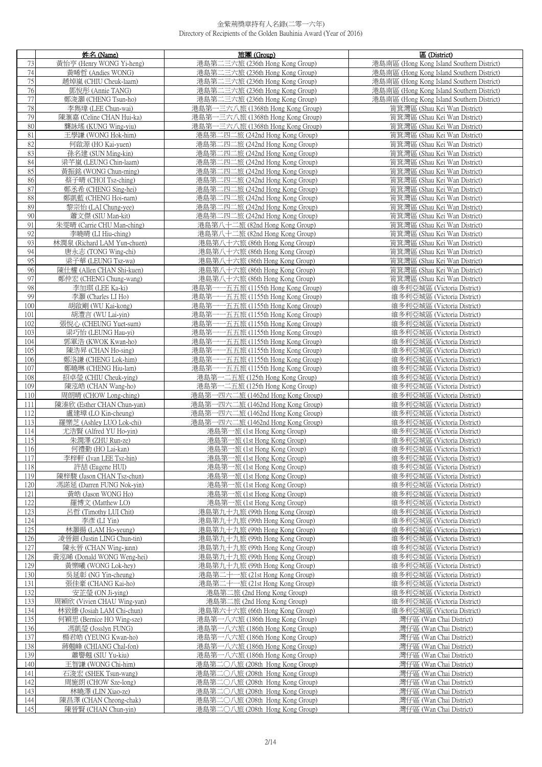|            | 姓名 (Name)                                          | 旅團 (Group)                                                                    | 區 (District)                                                              |
|------------|----------------------------------------------------|-------------------------------------------------------------------------------|---------------------------------------------------------------------------|
| 73         | 黃怡亨 (Henry WONG Yi-heng)                           | 港島第二三六旅 (236th Hong Kong Group)                                               | 港島南區 (Hong Kong Island Southern District)                                 |
| 74         | 黃晞哲 (Andies WONG)                                  | 港島第二三六旅 (236th Hong Kong Group)                                               | 港島南區 (Hong Kong Island Southern District)                                 |
| 75         | 趙焯嵐 (CHIU Cheuk-laam)                              | 港島第二三六旅 (236th Hong Kong Group)                                               | 港島南區 (Hong Kong Island Southern District)                                 |
| 76<br>77   | 鄧悅彤 (Annie TANG)                                   | 港島第二三六旅 (236th Hong Kong Group)<br>港島第二三六旅 (236th Hong Kong Group)            | 港島南區 (Hong Kong Island Southern District)                                 |
| 78         | 鄭浚灝 (CHENG Tsun-ho)<br>李雋瑋 (LEE Chun-wai)          | 港島第一三六八旅 (1368th Hong Kong Group)                                             | 港島南區 (Hong Kong Island Southern District)<br>筲箕灣區 (Shau Kei Wan District) |
| 79         | 陳滙嘉 (Celine CHAN Hui-ka)                           | 港島第一三六八旅 (1368th Hong Kong Group)                                             | 筲箕灣區 (Shau Kei Wan District)                                              |
| 80         | 龔詠瑤 (KUNG Wing-yiu)                                | 港島第一三六八旅 (1368th Hong Kong Group)                                             | 筲箕灣區 (Shau Kei Wan District)                                              |
| $81\,$     | 王學謙 (WONG Hok-him)                                 | 港島第二四二旅 (242nd Hong Kong Group)                                               | 筲箕灣區 (Shau Kei Wan District)                                              |
| 82         | 何啟源 (HO Kai-yuen)                                  | 港島第二四二旅 (242nd Hong Kong Group)                                               | 筲箕灣區 (Shau Kei Wan District)                                              |
| 83         | 孫名建 (SUN Ming-kin)                                 | 港島第二四二旅 (242nd Hong Kong Group)                                               | 筲箕灣區 (Shau Kei Wan District)                                              |
| 84         | 梁芊嵐 (LEUNG Chin-laam)                              | 港島第二四二旅 (242nd Hong Kong Group)                                               | 筲箕灣區 (Shau Kei Wan District)                                              |
| 85<br>86   | 黃振銘 (WONG Chun-ming)<br>蔡子晴 (CHOI Tsz-ching)       | 港島第二四二旅 (242nd Hong Kong Group)<br>港島第二四二旅 (242nd Hong Kong Group)            | 筲箕灣區 (Shau Kei Wan District)<br>筲箕灣區 (Shau Kei Wan District)              |
| 87         | 鄭丞希 (CHENG Sing-hei)                               | 港島第二四二旅 (242nd Hong Kong Group)                                               | 筲箕灣區 (Shau Kei Wan District)                                              |
| 88         | 鄭凱藍 (CHENG Hoi-nam)                                | 港島第二四二旅 (242nd Hong Kong Group)                                               | 筲箕灣區 (Shau Kei Wan District)                                              |
| 89         | 黎宗怡 (LAI Chung-yee)                                | 港島第二四二旅 (242nd Hong Kong Group)                                               | 筲箕灣區 (Shau Kei Wan District)                                              |
| 90         | 蕭文傑 (SIU Man-kit)                                  | 港島第二四二旅 (242nd Hong Kong Group)                                               | 筲箕灣區 (Shau Kei Wan District)                                              |
| 91         | 朱雯晴 (Carrie CHU Man-ching)                         | 港島第八十二旅 (82nd Hong Kong Group)                                                | 筲箕灣區 (Shau Kei Wan District)                                              |
| 92         | 李曉晴 (LI Hiu-ching)                                 | 港島第八十二旅 (82nd Hong Kong Group)                                                | 筲箕灣區 (Shau Kei Wan District)                                              |
| 93<br>94   | 林潤泉 (Richard LAM Yun-chuen)<br>唐永志 (TONG Wing-chi) | 港島第八十六旅 (86th Hong Kong Group)                                                | 筲箕灣區 (Shau Kei Wan District)                                              |
| 95         | 梁子華 (LEUNG Tsz-wa)                                 | 港島第八十六旅 (86th Hong Kong Group)<br>港島第八十六旅 (86th Hong Kong Group)              | 筲箕灣區 (Shau Kei Wan District)<br>筲箕灣區 (Shau Kei Wan District)              |
| 96         | 陳仕權 (Allen CHAN Shi-kuen)                          | 港島第八十六旅 (86th Hong Kong Group)                                                | 筲箕灣區 (Shau Kei Wan District)                                              |
| 97         | 鄭仲宏 (CHENG Chung-wang)                             | 港島第八十六旅 (86th Hong Kong Group)                                                | 筲箕灣區 (Shau Kei Wan District)                                              |
| 98         | 李加琪 (LEE Ka-ki)                                    | 港島第一一五五旅 (1155th Hong Kong Group)                                             | 維多利亞城區 (Victoria District)                                                |
| 99         | 李灝 (Charles LI Ho)                                 | 港島第-<br>一一五五旅 (1155th Hong Kong Group)                                        | 維多利亞城區 (Victoria District)                                                |
| 100        | 胡啟剛 (WU Kai-kong)                                  | 港島第<br>-一五五旅 (1155th Hong Kong Group)                                         | 維多利亞城區 (Victoria District)                                                |
| 101        | 胡澧言 (WU Lai-vin)                                   | 港島第<br>一五五旅 (1155th Hong Kong Group)                                          | 維多利亞城區 (Victoria District)                                                |
| 102<br>103 | 張悅心 (CHEUNG Yuet-sum)<br>梁巧怡 (LEUNG Hau-yi)        | 港島第-<br>一五五旅 (1155th Hong Kong Group)<br>港島第<br>-五五旅 (1155th Hong Kong Group) | 維多利亞城區 (Victoria District)<br>維多利亞城區 (Victoria District)                  |
| 104        | 郭軍浩 (KWOK Kwan-ho)                                 | 港島第<br>一一五五旅 (1155th Hong Kong Group)                                         | 維多利亞城區 (Victoria District)                                                |
| 105        | 陳浩昇 (CHAN Ho-sing)                                 | 港島第-<br>一五五旅 (1155th Hong Kong Group)                                         | 維多利亞城區 (Victoria District)                                                |
| 106        | 鄭洛謙 (CHENG Lok-him)                                | 港島第<br>一五五旅 (1155th Hong Kong Group)                                          | 維多利亞城區 (Victoria District)                                                |
| 107        | 鄭曉琳 (CHENG Hiu-lam)                                | 港島第-<br>---五五旅 (1155th Hong Kong Group)                                       | 維多利亞城區 (Victoria District)                                                |
| 108        | 招卓瑩 (CHIU Cheuk-ving)                              | 港島第一二五旅 (125th Hong Kong Group)                                               | 維多利亞城區 (Victoria District)                                                |
| 109        | 陳泓皓 (CHAN Wang-ho)                                 | 港島第一二五旅 (125th Hong Kong Group)                                               | 維多利亞城區 (Victoria District)                                                |
| 110        | 周朗晴 (CHOW Long-ching)                              | 港島第一四六二旅 (1462nd Hong Kong Group)<br>港島第一四六二旅 (1462nd Hong Kong Group)        | 維多利亞城區 (Victoria District)<br>維多利亞城區 (Victoria District)                  |
| 111<br>112 | 陳溱欣 (Esther CHAN Chun-yan)<br>盧建璋 (LO Kin-cheung)  | 港島第一四六二旅 (1462nd Hong Kong Group)                                             | 維多利亞城區 (Victoria District)                                                |
| 113        | 羅樂芝 (Ashley LUO Lok-chi)                           | 港島第一四六二旅 (1462nd Hong Kong Group)                                             | 維多利亞城區 (Victoria District)                                                |
| 114        | 尤浩賢 (Alfred YU Ho-yin)                             | 港島第一旅 (1st Hong Kong Group)                                                   | 維多利亞城區 (Victoria District)                                                |
| 115        | 朱潤澤 (ZHU Run-ze)                                   | 港島第一旅 (1st Hong Kong Group)                                                   | 維多利亞城區 (Victoria District)                                                |
| 116        | 何禮勤 (HO Lai-kan)                                   | 港島第一旅 (1st Hong Kong Group)                                                   | 維多利亞城區 (Victoria District)                                                |
| 117        | 李梓軒 (Ivan LEE Tsz-hin)                             | 港島第一旅 (1st Hong Kong Group)                                                   | 維多利亞城區 (Victoria District)                                                |
| 118<br>119 | 許喆 (Eugene HUI)<br>陳梓駿 (Jason CHAN Tsz-chun)       | 港島第一旅 (1st Hong Kong Group)                                                   | 維多利亞城區 (Victoria District)<br>維多利亞城區 (Victoria District)                  |
| 120        | 馮諾延 (Darren FUNG Nok-vin)                          | 港島第一旅 (1st Hong Kong Group)<br>港島第一旅 (1st Hong Kong Group)                    | 維多利亞城區 (Victoria District)                                                |
| 121        | 黃皓 (Jason WONG Ho)                                 | 港島第一旅 (1st Hong Kong Group)                                                   | 維多利亞城區 (Victoria District)                                                |
| 122        | 羅博文 (Matthew LO)                                   | 港島第一旅 (1st Hong Kong Group)                                                   | 維多利亞城區 (Victoria District)                                                |
| 123        | 呂哲 (Timothy LUI Chit)                              | 港島第九十九旅 (99th Hong Kong Group)                                                | 維多利亞城區 (Victoria District)                                                |
| 124        | 李彥(LI Yin)                                         | 港島第九十九旅 (99th Hong Kong Group)                                                | 維多利亞城區 (Victoria District)                                                |
| 125        | 林灝揚 (LAM Ho-yeung)                                 | 港島第九十九旅 (99th Hong Kong Group)                                                | 維多利亞城區 (Victoria District)                                                |
| 126<br>127 | 凌晉鈿 (Justin LING Chun-tin)<br>陳永晉 (CHAN Wing-junn) | 港島第九十九旅 (99th Hong Kong Group)<br>港島第九十九旅 (99th Hong Kong Group)              | 維多利亞城區 (Victoria District)<br>維多利亞城區 (Victoria District)                  |
| 128        | 黃泓晞 (Donald WONG Weng-hei)                         | 港島第九十九旅 (99th Hong Kong Group)                                                | 維多利亞城區 (Victoria District)                                                |
| 129        | 黃樂曦 (WONG Lok-hey)                                 | 港島第九十九旅 (99th Hong Kong Group)                                                | 維多利亞城區 (Victoria District)                                                |
| 130        | 吳延彰 (NG Yin-cheung)                                | 港島第二十一旅 (21st Hong Kong Group)                                                | 維多利亞城區 (Victoria District)                                                |
| 131        | 張佳豪 (CHANG Kai-ho)                                 | 港島第二十一旅 (21st Hong Kong Group)                                                | 維多利亞城區 (Victoria District)                                                |
| 132        | 安芷瑩 (ON Ji-ying)                                   | 港島第二旅 (2nd Hong Kong Group)                                                   | 維多利亞城區 (Victoria District)                                                |
| 133        | 周穎欣 (Vivien CHAU Wing-yan)                         | 港島第二旅 (2nd Hong Kong Group)                                                   | 維多利亞城區 (Victoria District)                                                |
| 134        | 林致臻 (Josiah LAM Chi-chun)                          | 港島第六十六旅 (66th Hong Kong Group)                                                | 維多利亞城區 (Victoria District)                                                |
| 135<br>136 | 何穎思 (Bernice HO Wing-sze)<br>馮凱瑩 (Josslyn FUNG)    | 港島第一八六旅 (186th Hong Kong Group)<br>港島第一八六旅 (186th Hong Kong Group)            | 灣仔區 (Wan Chai District)<br>灣仔區 (Wan Chai District)                        |
| 137        | 楊君皓 (YEUNG Kwan-ho)                                | 港島第一八六旅 (186th Hong Kong Group)                                               | 灣仔區 (Wan Chai District)                                                   |
| 138        | 蔣翹峰 (CHIANG Chal-fon)                              | 港島第一八六旅 (186th Hong Kong Group)                                               | 灣仔區 (Wan Chai District)                                                   |
| 139        | 蕭譽翹 (SIU Yu-kiu)                                   | 港島第一八六旅 (186th Hong Kong Group)                                               | 灣仔區 (Wan Chai District)                                                   |
| 140        | 王智謙 (WONG Chi-him)                                 | 港島第二〇八旅 (208th Hong Kong Group)                                               | 灣仔區 (Wan Chai District)                                                   |
| 141        | 石浚宏 (SHEK Tsun-wang)                               | 港島第二〇八旅 (208th Hong Kong Group)                                               | 灣仔區 (Wan Chai District)                                                   |
| 142        | 周施朗 (CHOW Sze-long)                                | 港島第二〇八旅 (208th Hong Kong Group)                                               | 灣仔區 (Wan Chai District)                                                   |
| 143<br>144 | 林曉澤 (LIN Xiao-ze)<br>陳昌澤 (CHAN Cheong-chak)        | 港島第二〇八旅 (208th Hong Kong Group)<br>港島第二〇八旅 (208th Hong Kong Group)            | 灣仔區 (Wan Chai District)<br>灣仔區 (Wan Chai District)                        |
| 145        | 陳晉賢 (CHAN Chun-yin)                                | 港島第二〇八旅 (208th Hong Kong Group)                                               | 灣仔區 (Wan Chai District)                                                   |
|            |                                                    |                                                                               |                                                                           |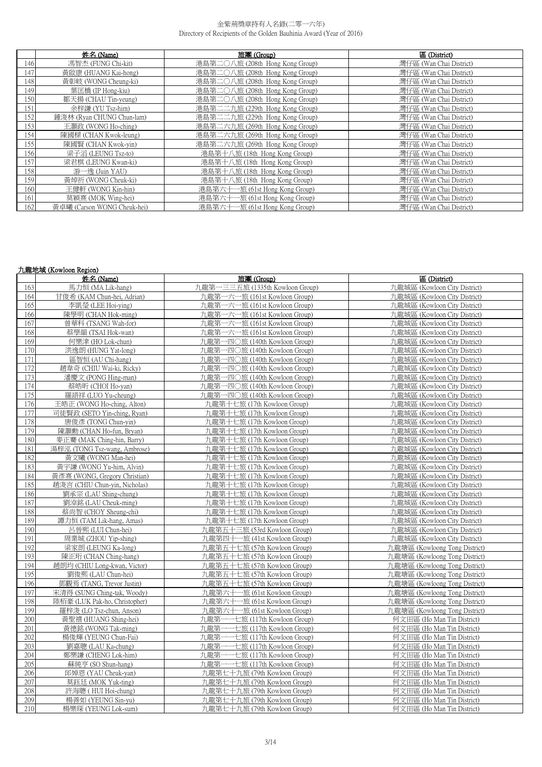|     | 姓名 (Name)                   | 旅團 (Group)                      | 區 (District)            |
|-----|-----------------------------|---------------------------------|-------------------------|
| 146 | 馮智杰 (FUNG Chi-kit)          | 港島第二〇八旅 (208th Hong Kong Group) | 灣仔區 (Wan Chai District) |
| 147 | 黃啟康 (HUANG Kai-hong)        | 港島第二〇八旅 (208th Hong Kong Group) | 灣仔區 (Wan Chai District) |
| 148 | 黃彰岐 (WONG Cheung-ki)        | 港島第二〇八旅 (208th Hong Kong Group) | 灣仔區 (Wan Chai District) |
| 149 | 葉匡橋 (IP Hong-kiu)           | 港島第二〇八旅 (208th Hong Kong Group) | 灣仔區 (Wan Chai District) |
| 150 | 鄒天揚 (CHAU Tin-yeung)        | 港島第二〇八旅 (208th Hong Kong Group) | 灣仔區 (Wan Chai District) |
| 151 | 余梓謙 (YU Tsz-him)            | 港島第二二九旅 (229th Hong Kong Group) | 灣仔區 (Wan Chai District) |
| 152 | 鍾浚林 (Ryan CHUNG Chun-lam)   | 港島第二二九旅 (229th Hong Kong Group) | 灣仔區 (Wan Chai District) |
| 153 | 王灝政 (WONG Ho-ching)         | 港島第二六九旅 (269th Hong Kong Group) | 灣仔區 (Wan Chai District) |
| 154 | 陳國樑 (CHAN Kwok-leung)       | 港島第二六九旅 (269th Hong Kong Group) | 灣仔區 (Wan Chai District) |
| 155 | 陳國賢 (CHAN Kwok-yin)         | 港島第二六九旅 (269th Hong Kong Group) | 灣仔區 (Wan Chai District) |
| 156 | 梁子滔 (LEUNG Tsz-to)          | 港島第十八旅 (18th Hong Kong Group)   | 灣仔區 (Wan Chai District) |
| 157 | 梁君棋 (LEUNG Kwan-ki)         | 港島第十八旅 (18th Hong Kong Group)   | 灣仔區 (Wan Chai District) |
| 158 | 游一逸 (Juin YAU)              | 港島第十八旅 (18th Hong Kong Group)   | 灣仔區 (Wan Chai District) |
| 159 | 黃焯祈 (WONG Cheuk-ki)         | 港島第十八旅 (18th Hong Kong Group)   | 灣仔區 (Wan Chai District) |
| 160 | 王健軒 (WONG Kin-hin)          | 港島第六十一旅 (61st Hong Kong Group)  | 灣仔區 (Wan Chai District) |
| 161 | 莫穎熹 (MOK Wing-hei)          | 港島第六十一旅 (61st Hong Kong Group)  | 灣仔區 (Wan Chai District) |
| 162 | 黃卓曦 (Carson WONG Cheuk-hei) | 港島第六十一旅 (61st Hong Kong Group)  | 灣仔區 (Wan Chai District) |

## 九龍地域 (Kowloon Region)

|            | 姓名 (Name)                                                 | 旅團 (Group)                                                   | 區 (District)                                                   |
|------------|-----------------------------------------------------------|--------------------------------------------------------------|----------------------------------------------------------------|
| 163        | 馬力恒 (MA Lik-hang)                                         | 九龍第一三三五旅 (1335th Kowloon Group)                              | 九龍城區 (Kowloon City District)                                   |
| 164        | 甘俊希 (KAM Chun-hei, Adrian)                                | 九龍第一六一旅 (161st Kowloon Group)                                | 九龍城區 (Kowloon City District)                                   |
| 165        | 李凱榮 (LEE Hoi-ving)                                        | 九龍第一六一旅 (161st Kowloon Group)                                | 九龍城區 (Kowloon City District)                                   |
| 166        | 陳學明 (CHAN Hok-ming)                                       | 九龍第一六一旅 (161st Kowloon Group)                                | 九龍城區 (Kowloon City District)                                   |
| 167        | 曾華科 (TSANG Wah-for)                                       | 九龍第一六一旅 (161st Kowloon Group)                                | 力龍城區 (Kowloon City District)                                   |
| 168        | 蔡學韻 (TSAI Hok-wan)                                        | 九龍第一六一旅 (161st Kowloon Group)                                | 九龍城區 (Kowloon City District)                                   |
| 169        | 何樂津 (HO Lok-chun)                                         | 九龍第一四〇旅 (140th Kowloon Group)                                | 九龍城區 (Kowloon City District)                                   |
| 170        | 洪逸朗 (HUNG Yat-long)                                       | 九龍第一四〇旅 (140th Kowloon Group)                                | 九龍城區 (Kowloon City District)                                   |
| 171        | 區智恒 (AU Chi-hang)                                         | 九龍第一四〇旅 (140th Kowloon Group)                                | 九龍城區 (Kowloon City District)                                   |
| 172        | 趙韋奇 (CHIU Wai-ki, Ricky)                                  | 九龍第一四〇旅 (140th Kowloon Group)                                | 九龍城區 (Kowloon City District)                                   |
| 173        | 潘慶文 (PONG Hing-man)                                       | 九龍第一四〇旅 (140th Kowloon Group)                                | 九龍城區 (Kowloon City District)                                   |
| 174        | 蔡皓昕 (CHOI Ho-yan)                                         | 九龍第一四〇旅 (140th Kowloon Group)                                | 九龍城區 (Kowloon City District)                                   |
| 175        | 羅語祥 (LUO Yu-cheung)                                       | 九龍第一四〇旅 (140th Kowloon Group)                                | 九龍城區 (Kowloon City District)                                   |
| 176        | 王皓正 (WONG Ho-ching, Alton)                                | 九龍第十七旅 (17th Kowloon Group)                                  | 九龍城區 (Kowloon City District)                                   |
| 177        | 司徒賢政 (SETO Yin-ching, Ryan)                               | 九龍第十七旅 (17th Kowloon Group)                                  | 九龍城區 (Kowloon City District)                                   |
| 178        | 唐俊彥 (TONG Chun-yin)                                       | 九龍第十七旅 (17th Kowloon Group)                                  | 九龍城區 (Kowloon City District)                                   |
| 179        | 陳灝勳 (CHAN Ho-fun, Bryan)                                  | 九龍第十七旅 (17th Kowloon Group)                                  | 九龍城區 (Kowloon City District)                                   |
| 180        | 麥正騫 (MAK Ching-hin, Barry)                                | 九龍第十七旅 (17th Kowloon Group)                                  | 九龍城區 (Kowloon City District)                                   |
| 181        | 湯梓泓 (TONG Tsz-wang, Ambrose)                              | 九龍第十七旅 (17th Kowloon Group)                                  | 九龍城區 (Kowloon City District)                                   |
| 182        | 黃文曦 (WONG Man-hei)                                        | 九龍第十七旅 (17th Kowloon Group)                                  | 九龍城區 (Kowloon City District)                                   |
| 183        | 黃宇謙 (WONG Yu-him, Alvin)                                  | 九龍第十七旅 (17th Kowloon Group)                                  | 九龍城區 (Kowloon City District)                                   |
| 184        | 黃彥熹 (WONG, Gregory Christian)                             | 九龍第十七旅 (17th Kowloon Group)                                  | 九龍城區 (Kowloon City District)                                   |
| 185        | 趙浚言 (CHIU Chun-yin, Nicholas)                             | 九龍第十七旅 (17th Kowloon Group)                                  | 九龍城區 (Kowloon City District)                                   |
| 186        | 劉承宗 (LAU Shing-chung)                                     | 九龍第十七旅 (17th Kowloon Group)                                  | 九龍城區 (Kowloon City District)                                   |
| 187        | 劉淖銘 (LAU Cheuk-ming)                                      | 九龍第十七旅 (17th Kowloon Group)                                  | 九龍城區 (Kowloon City District)                                   |
| 188        | 蔡尚智 (CHOY Sheung-chi)                                     | 九龍第十七旅 (17th Kowloon Group)                                  | 九龍城區 (Kowloon City District)                                   |
| 189        | 譚力恒 (TAM Lik-hang, Amas)                                  | 九龍第十七旅 (17th Kowloon Group)                                  | 九龍城區 (Kowloon City District)                                   |
| 190        | 呂晉熙 (LUI Chun-hei)                                        | 九龍第五十三旅 (53rd Kowloon Group)                                 | 九龍城區 (Kowloon City District)                                   |
| 191        | 周業城 (ZHOU Yip-shing)                                      | 九龍第四十一旅 (41st Kowloon Group)                                 | 九龍城區 (Kowloon City District)                                   |
| 192        | 梁家朗 (LEUNG Ka-long)                                       | 九龍第五十七旅 (57th Kowloon Group)                                 | 九龍塘區 (Kowloong Tong District)                                  |
| 193        | 陳正珩 (CHAN Ching-hang)                                     | 九龍第五十七旅 (57th Kowloon Group)                                 | 九龍塘區 (Kowloong Tong District)                                  |
| 194        | 趙朗均 (CHIU Long-kwan, Victor)                              | 九龍第五十七旅 (57th Kowloon Group)                                 | 九龍塘區 (Kowloong Tong District)                                  |
| 195        | 劉俊熙 (LAU Chun-hei)                                        | 九龍第五十七旅 (57th Kowloon Group)                                 | 九龍塘區 (Kowloong Tong District)                                  |
| 196        | 鄧觀焉 (TANG, Trevor Justin)                                 | 九龍第五十七旅 (57th Kowloon Group)                                 | 九龍塘區 (Kowloong Tong District)                                  |
| 197<br>198 | 宋清得 (SUNG Ching-tak, Woody)                               | 九龍第六十一旅 (61st Kowloon Group)                                 | 九龍塘區 (Kowloong Tong District)                                  |
| 199        | 陸栢豪 (LUK Pak-ho, Christopher)<br>羅梓浚 (LO Tsz-chun, Anson) | 九龍第六十一旅 (61st Kowloon Group)<br>九龍第六十一旅 (61st Kowloon Group) | 九龍塘區 (Kowloong Tong District)<br>九龍塘區 (Kowloong Tong District) |
| 200        | 黃聖禧 (HUANG Shing-hei)                                     | 九龍第一一七旅 (117th Kowloon Group)                                | 何文田區 (Ho Man Tin District)                                     |
| 201        | 黃德銘 (WONG Tak-ming)                                       | 九龍第一一七旅 (117th Kowloon Group)                                | 何文田區 (Ho Man Tin District)                                     |
| 202        | 楊俊輝 (YEUNG Chun-Fai)                                      | 九龍第一一七旅 (117th Kowloon Group)                                | 何文田區 (Ho Man Tin District)                                     |
| 203        | 劉嘉聰 (LAU Ka-chung)                                        | 九龍第一一七旅 (117th Kowloon Group)                                | 何文田區 (Ho Man Tin District)                                     |
| 204        | 鄭樂謙 (CHENG Lok-him)                                       | 九龍第一一七旅 (117th Kowloon Group)                                | 何文田區 (Ho Man Tin District)                                     |
| 205        | 蘇純亨 (SO Shun-hang)                                        | 九龍第一一七旅 (117th Kowloon Group)                                | 何文田區 (Ho Man Tin District)                                     |
| 206        | 邱婥恩 (YAU Cheuk-yan)                                       | 九龍第七十九旅 (79th Kowloon Group)                                 | 何文田區 (Ho Man Tin District)                                     |
| 207        | 莫鈺廷 (MOK Yuk-ting)                                        | 九龍第七十九旅 (79th Kowloon Group)                                 | 何文田區 (Ho Man Tin District)                                     |
| 208        | 許海聰 (HUI Hoi-chung)                                       | 九龍第七十九旅 (79th Kowloon Group)                                 | 何文田區 (Ho Man Tin District)                                     |
| 209        | 楊善如 (YEUNG Sin-yu)                                        | 九龍第七十九旅 (79th Kowloon Group)                                 | 何文田區 (Ho Man Tin District)                                     |
| 210        | 楊樂琛 (YEUNG Lok-sum)                                       | 九龍第七十九旅 (79th Kowloon Group)                                 | 何文田區 (Ho Man Tin District)                                     |
|            |                                                           |                                                              |                                                                |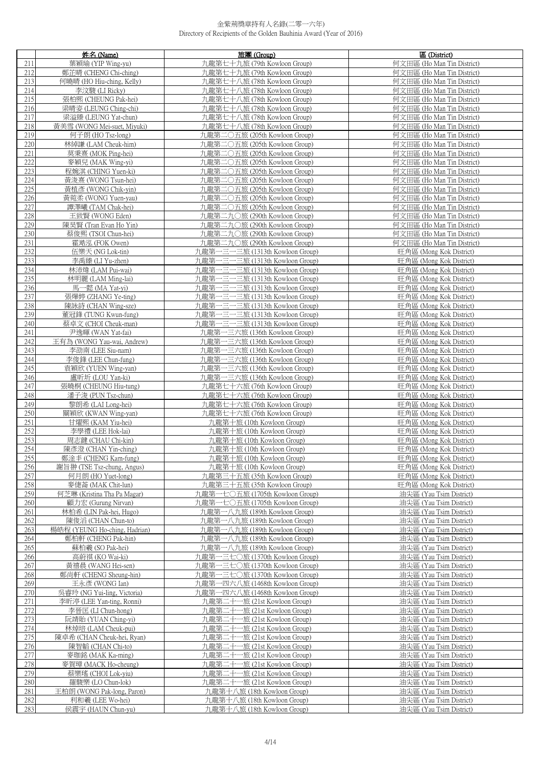|            | 姓名 (Name)                                       | 旅團 (Group)                                                         | 區 (District)                                             |
|------------|-------------------------------------------------|--------------------------------------------------------------------|----------------------------------------------------------|
| 211        | 葉穎瑜 (YIP Wing-vu)                               | 九龍第七十九旅 (79th Kowloon Group)                                       | 何文田區 (Ho Man Tin District)                               |
| 212        | 鄭芷晴 (CHENG Chi-ching)                           | 九龍第七十九旅 (79th Kowloon Group)                                       | 何文田區 (Ho Man Tin District)                               |
| 213        | 何曉晴 (HO Hiu-ching, Kelly)                       | 九龍第七十八旅 (78th Kowloon Group)                                       | 何文田區 (Ho Man Tin District)                               |
| 214        | 李汶駿 (LI Ricky)                                  | 九龍第七十八旅 (78th Kowloon Group)                                       | 何文田區 (Ho Man Tin District)                               |
| 215        | 張柏熙 (CHEUNG Pak-hei)                            | 九龍第七十八旅 (78th Kowloon Group)                                       | 何文田區 (Ho Man Tin District)                               |
| 216        | 梁晴姿 (LEUNG Ching-chi)                           | 九龍第七十八旅 (78th Kowloon Group)                                       | 何文田區 (Ho Man Tin District)                               |
| 217        | 梁溢臻 (LEUNG Yat-chun)                            | 九龍第七十八旅 (78th Kowloon Group)                                       | 何文田區 (Ho Man Tin District)                               |
| 218        | 黃美雪 (WONG Mei-suet, Miyuki)                     | 九龍第七十八旅 (78th Kowloon Group)                                       | 何文田區 (Ho Man Tin District)                               |
| 219<br>220 | 何子朗(HO Tsz-long)                                | 九龍第二〇五旅 (205th Kowloon Group)                                      | 何文田區 (Ho Man Tin District)                               |
| 221        | 林綽謙 (LAM Cheuk-him)<br>莫秉熹 (MOK Ping-hei)       | 九龍第二〇五旅 (205th Kowloon Group)<br>九龍第二〇五旅 (205th Kowloon Group)     | 何文田區 (Ho Man Tin District)<br>何文田區 (Ho Man Tin District) |
| 222        | 麥穎兒 (MAK Wing-yi)                               | 九龍第二〇五旅 (205th Kowloon Group)                                      | 何文田區 (Ho Man Tin District)                               |
| 223        | 程婉淇 (CHING Yuen-ki)                             | 九龍第二〇五旅 (205th Kowloon Group)                                      | 何文田區 (Ho Man Tin District)                               |
| 224        | 黃浚熹 (WONG Tsun-hei)                             | 九龍第二〇五旅 (205th Kowloon Group)                                      | 何文田區 (Ho Man Tin District)                               |
| 225        | 黃植彥 (WONG Chik-yin)                             | 九龍第二〇五旅 (205th Kowloon Group)                                      | 何文田區 (Ho Man Tin District)                               |
| 226        | 黃菀柔 (WONG Yuen-yau)                             | 九龍第二〇五旅 (205th Kowloon Group)                                      | 何文田區 (Ho Man Tin District)                               |
| 227        | 譚澤曦 (TAM Chak-hei)                              | 九龍第二〇五旅 (205th Kowloon Group)                                      | 何文田區 (Ho Man Tin District)                               |
| 228        | 王致賢 (WONG Eden)                                 | 九龍第二九〇旅 (290th Kowloon Group)                                      | 何文田區 (Ho Man Tin District)                               |
| 229        | 陳昊賢 (Tran Evan Ho Yin)                          | 九龍第二九〇旅 (290th Kowloon Group)                                      | 何文田區 (Ho Man Tin District)                               |
| 230        | 蔡俊熙 (TSOI Chun-hei)                             | 九龍第二九〇旅 (290th Kowloon Group)                                      | 何文田區 (Ho Man Tin District)                               |
| 231        | 霍澔泓 (FOK Owen)                                  | 九龍第二九〇旅 (290th Kowloon Group)                                      | 何文田區 (Ho Man Tin District)                               |
| 232<br>233 | 伍樂天 (NG Lok-tin)                                | 九龍第一三一三旅 (1313th Kowloon Group)                                    | 旺角區 (Mong Kok District)                                  |
| 234        | 李禹臻 (LI Yu-zhen)<br>林沛煒 (LAM Pui-wai)           | 九龍第一三一三旅 (1313th Kowloon Group)<br>九龍第一三一三旅 (1313th Kowloon Group) | 旺角區 (Mong Kok District)<br>旺角區 (Mong Kok District)       |
| 235        | 林明麗 (LAM Ming-lai)                              | 九龍第一三一三旅 (1313th Kowloon Group)                                    | 旺角區 (Mong Kok District)                                  |
| 236        | 馬一懿 (MA Yat-yi)                                 | 九龍第一三一三旅 (1313th Kowloon Group)                                    | 旺角區 (Mong Kok District)                                  |
| 237        | 張燁婷 (ZHANG Ye-ting)                             | 九龍第一三一三旅 (1313th Kowloon Group)                                    | 旺角區 (Mong Kok District)                                  |
| 238        | 陳詠詩 (CHAN Wing-sze)                             | 九龍第一三一三旅 (1313th Kowloon Group)                                    | 旺角區 (Mong Kok District)                                  |
| 239        | 董冠鋒 (TUNG Kwun-fung)                            | 九龍第一三一三旅 (1313th Kowloon Group)                                    | 旺角區 (Mong Kok District)                                  |
| 240        | 蔡卓文 (CHOI Cheuk-man)                            | 九龍第一三一三旅 (1313th Kowloon Group)                                    | 旺角區 (Mong Kok District)                                  |
| 241        | 尹逸暉 (WAN Yat-fai)                               | 九龍第一三六旅 (136th Kowloon Group)                                      | 旺角區 (Mong Kok District)                                  |
| 242        | 王有為 (WONG Yau-wai, Andrew)                      | 九龍第一三六旅 (136th Kowloon Group)                                      | 旺角區 (Mong Kok District)                                  |
| 243        | 李劭南 (LEE Siu-nam)                               | 九龍第一三六旅 (136th Kowloon Group)                                      | 旺角區 (Mong Kok District)                                  |
| 244        | 李俊鋒 (LEE Chun-fung)                             | 九龍第一三六旅 (136th Kowloon Group)                                      | 旺角區 (Mong Kok District)                                  |
| 245<br>246 | 袁穎欣 (YUEN Wing-yan)                             | 九龍第一三六旅 (136th Kowloon Group)                                      | 旺角區 (Mong Kok District)                                  |
| 247        | 盧昕圻 (LOU Yan-ki)<br>張曉桐 (CHEUNG Hiu-tung)       | 九龍第一三六旅 (136th Kowloon Group)<br>九龍第七十六旅 (76th Kowloon Group)      | 旺角區 (Mong Kok District)<br>旺角區 (Mong Kok District)       |
| 248        | 潘子浚 (PUN Tsz-chun)                              | 九龍第七十六旅 (76th Kowloon Group)                                       | 旺角區 (Mong Kok District)                                  |
| 249        | 黎朗希 (LAI Long-hei)                              | 九龍第七十六旅 (76th Kowloon Group)                                       | 旺角區 (Mong Kok District)                                  |
| 250        | 關穎欣 (KWAN Wing-yan)                             | 九龍第七十六旅 (76th Kowloon Group)                                       | 旺角區 (Mong Kok District)                                  |
| 251        | 甘燿熙 (KAM Yiu-hei)                               | 九龍第十旅 (10th Kowloon Group)                                         | 旺角區 (Mong Kok District)                                  |
| 252        | 李學禮 (LEE Hok-lai)                               | 九龍第十旅 (10th Kowloon Group)                                         | 旺角區 (Mong Kok District)                                  |
| 253        | 周志鍵 (CHAU Chi-kin)                              | 九龍第十旅 (10th Kowloon Group)                                         | 旺角區 (Mong Kok District)                                  |
| 254        | 陳彥澄 (CHAN Yin-ching)                            | 九龍第十旅 (10th Kowloon Group)                                         | 旺角區 (Mong Kok District)                                  |
| 255        | 鄭淦手 (CHENG Kam-fung)                            | 九龍第十旅 (10th Kowloon Group)                                         | 吐角區 (Mong Kok District)                                  |
| 256<br>257 | 謝旨翀 (TSE Tsz-chung, Angus)<br>何月朗(HO Yuet-long) | 九龍第十旅 (10th Kowloon Group)<br>九龍第三十五旅 (35th Kowloon Group)         | 旺角區 (Mong Kok District)<br>旺角區 (Mong Kok District)       |
| 258        | 麥倢菕 (MAK Chit-lun)                              | 九龍第三十五旅 (35th Kowloon Group)                                       | 旺角區 (Mong Kok District)                                  |
| 259        | 何芝琳 (Kristina Tha Pa Magar)                     | 九龍第一七〇五旅 (1705th Kowloon Group)                                    | 油尖區 (Yau Tsim District)                                  |
| 260        | 顧力宏 (Gurung Nirvan)                             | 九龍第一七〇五旅 (1705th Kowloon Group)                                    | 油尖區 (Yau Tsim District)                                  |
| 261        | 林柏希 (LIN Pak-hei, Hugo)                         | 九龍第一八九旅 (189th Kowloon Group)                                      | 油尖區 (Yau Tsim District)                                  |
| 262        | 陳俊滔 (CHAN Chun-to)                              | 九龍第一八九旅 (189th Kowloon Group)                                      | 油尖區 (Yau Tsim District)                                  |
| 263        | 楊皓程 (YEUNG Ho-ching, Hadrian)                   | 九龍第一八九旅 (189th Kowloon Group)                                      | 油尖區 (Yau Tsim District)                                  |
| 264        | 鄭柏軒 (CHENG Pak-hin)                             | 九龍第一八九旅 (189th Kowloon Group)                                      | 油尖區 (Yau Tsim District)                                  |
| 265        | 蘇柏羲 (SO Pak-hei)                                | 九龍第一八九旅 (189th Kowloon Group)                                      | 油尖區 (Yau Tsim District)                                  |
| 266<br>267 | 高蔚祺 (KO Wai-ki)<br>黃禧晨 (WANG Hei-sen)           | 九龍第一三七〇旅 (1370th Kowloon Group)<br>九龍第一三七〇旅 (1370th Kowloon Group) | 油尖區 (Yau Tsim District)<br>油尖區 (Yau Tsim District)       |
| 268        | 鄭尚軒 (CHENG Sheung-hin)                          | 九龍第一三七〇旅 (1370th Kowloon Group)                                    | 油尖區 (Yau Tsim District)                                  |
| 269        | 王永彥 (WONG Ian)                                  | 九龍第一四六八旅 (1468th Kowloon Group)                                    | 油尖區 (Yau Tsim District)                                  |
| 270        | 吳睿玲 (NG Yui-ling, Victoria)                     | 九龍第一四六八旅 (1468th Kowloon Group)                                    | 油尖區 (Yau Tsim District)                                  |
| 271        | 李昕渟 (LEE Yan-ting, Ronni)                       | 九龍第二十一旅 (21st Kowloon Group)                                       | 油尖區 (Yau Tsim District)                                  |
| 272        | 李晉匡 (LI Chun-hong)                              | 九龍第二十一旅 (21st Kowloon Group)                                       | 油尖區 (Yau Tsim District)                                  |
| 273        | 阮靖貽 (YUAN Ching-yi)                             | 九龍第二十一旅 (21st Kowloon Group)                                       | 油尖區 (Yau Tsim District)                                  |
| 274        | 林焯培 (LAM Cheuk-pui)                             | 九龍第二十一旅 (21st Kowloon Group)                                       | 油尖區 (Yau Tsim District)                                  |
| 275        | 陳卓希 (CHAN Cheuk-hei, Ryan)                      | 九龍第二十一旅 (21st Kowloon Group)                                       | 油尖區 (Yau Tsim District)                                  |
| 276        | 陳智韜 (CHAN Chi-to)                               | 九龍第二十一旅 (21st Kowloon Group)                                       | 油尖區 (Yau Tsim District)                                  |
| 277        | 麥珈銘 (MAK Ka-ming)                               | 九龍第二十一旅 (21st Kowloon Group)                                       | 油尖區 (Yau Tsim District)                                  |
| 278        | 麥賀璋 (MACK Ho-cheung)                            | 九龍第二十一旅 (21st Kowloon Group)                                       | 油尖區 (Yau Tsim District)                                  |
| 279<br>280 | 蔡樂瑤 (CHOI Lok-yiu)<br>羅駿樂 (LO Chun-lok)         | 九龍第二十一旅 (21st Kowloon Group)<br>九龍第二十一旅 (21st Kowloon Group)       | 油尖區 (Yau Tsim District)<br>油尖區 (Yau Tsim District)       |
| 281        | 王柏朗 (WONG Pak-long, Paron)                      | 九龍第十八旅 (18th Kowloon Group)                                        | 油尖區 (Yau Tsim District)                                  |
| 282        | 利和羲 (LEE Wo-hei)                                | 九龍第十八旅 (18th Kowloon Group)                                        | 油尖區 (Yau Tsim District)                                  |
| 283        | 侯震宇 (HAUN Chun-yu)                              | 九龍第十八旅 (18th Kowloon Group)                                        | 油尖區 (Yau Tsim District)                                  |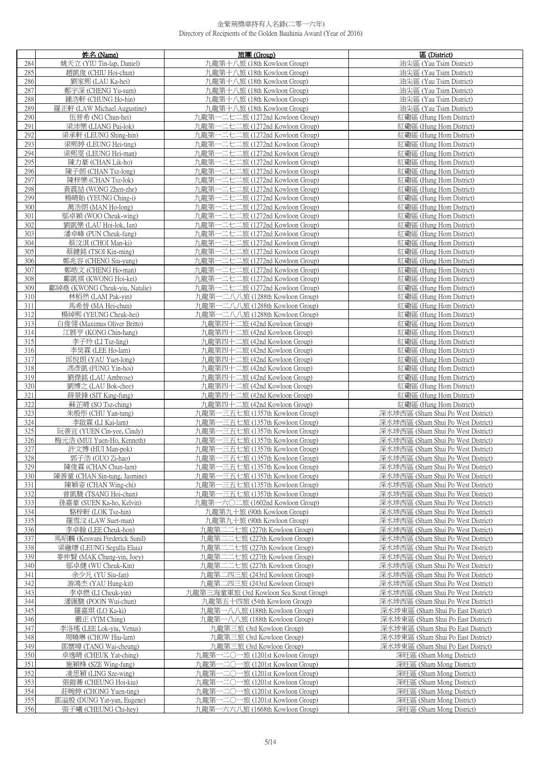|            | 姓名 (Name)                                               | 旅團 (Group)                                                         | 區 (District)                                                             |
|------------|---------------------------------------------------------|--------------------------------------------------------------------|--------------------------------------------------------------------------|
| 284        | 姚天立 (YIU Tin-lap, Daniel)                               | 九龍第十八旅 (18th Kowloon Group)                                        | 油尖區 (Yau Tsim District)                                                  |
| 285        | 趙凱俊 (CHIU Hoi-chun)                                     | 九龍第十八旅 (18th Kowloon Group)                                        | 油尖區 (Yau Tsim District)                                                  |
| 286        | 劉家熙 (LAU Ka-hei)                                        | 九龍第十八旅 (18th Kowloon Group)                                        | 油尖區 (Yau Tsim District)                                                  |
| 287        | 鄭宇深 (CHENG Yu-sum)                                      | 九龍第十八旅 (18th Kowloon Group)                                        | 油尖區 (Yau Tsim District)                                                  |
| 288        | 鍾浩軒 (CHUNG Ho-hin)                                      | 九龍第十八旅 (18th Kowloon Group)                                        | 油尖區 (Yau Tsim District)                                                  |
| 289        | 羅正軒 (LAW Michael Augustine)                             | 九龍第十八旅 (18th Kowloon Group)                                        | 油尖區 (Yau Tsim District)                                                  |
| 290        | 伍晉希 (NG Chun-hei)                                       | 九龍第一二七二旅 (1272nd Kowloon Group)                                    | 紅磡區 (Hung Hom District)                                                  |
| 291        | 梁沛樂 (LIANG Pui-lok)                                     | 九龍第一二七二旅 (1272nd Kowloon Group)                                    | 紅磡區 (Hung Hom District)                                                  |
| 292        | 梁承軒 (LEUNG Shing-hin)<br>梁熙婷 (LEUNG Hei-ting)           | 九龍第一二七二旅 (1272nd Kowloon Group)<br>九龍第一二七二旅 (1272nd Kowloon Group) | 紅磡區 (Hung Hom District)                                                  |
| 293<br>294 | 梁熙雯 (LEUNG Hei-man)                                     | 九龍第一二七二旅 (1272nd Kowloon Group)                                    | 紅磡區 (Hung Hom District)<br>紅磡區 (Hung Hom District)                       |
| 295        | 陳力豪 (CHAN Lik-ho)                                       | 九龍第一二七二旅 (1272nd Kowloon Group)                                    | 紅磡區 (Hung Hom District)                                                  |
| 296        | 陳子朗 (CHAN Tsz-long)                                     | 九龍第一二七二旅 (1272nd Kowloon Group)                                    | 紅磡區 (Hung Hom District)                                                  |
| 297        | 陳梓樂 (CHAN Tsz-lok)                                      | 九龍第一二七二旅 (1272nd Kowloon Group)                                    | 紅磡區 (Hung Hom District)                                                  |
| 298        | 黃震喆 (WONG Zhen-zhe)                                     | 九龍第一二七二旅 (1272nd Kowloon Group)                                    | 紅磡區 (Hung Hom District)                                                  |
| 299        | 楊晴貽 (YEUNG Ching-i)                                     | 九龍第一二七二旅 (1272nd Kowloon Group)                                    | 紅磡區 (Hung Hom District)                                                  |
| 300        | 萬浩朗 (MAN Ho-long)                                       | 九龍第一二七二旅 (1272nd Kowloon Group)                                    | 紅磡區 (Hung Hom District)                                                  |
| 301        | 鄔卓穎 (WOO Cheuk-wing)                                    | 九龍第一二七二旅 (1272nd Kowloon Group)                                    | 紅磡區 (Hung Hom District)                                                  |
| 302        | 劉凱樂 (LAU Hoi-lok, Ian)                                  | 九龍第一二七二旅 (1272nd Kowloon Group)                                    | 紅磡區 (Hung Hom District)                                                  |
| 303        | 潘卓峰 (PUN Cheuk-fung)                                    | 九龍第一二七二旅 (1272nd Kowloon Group)                                    | 紅磡區 (Hung Hom District)                                                  |
| 304        | 蔡汶淇 (CHOI Man-ki)                                       | 九龍第一二七二旅 (1272nd Kowloon Group)                                    | 紅磡區 (Hung Hom District)                                                  |
| 305        | 蔡鍵銘 (TSOI Kin-ming)                                     | 一二七二旅 (1272nd Kowloon Group)<br>九龍第-                               | 紅磡區 (Hung Hom District)                                                  |
| 306<br>307 | 鄭兆容 (CHENG Siu-yung)<br>鄭皓文 (CHENG Ho-man)              | 九龍第一二七二旅 (1272nd Kowloon Group)<br>九龍第一二七二旅 (1272nd Kowloon Group) | 紅磡區 (Hung Hom District)<br>紅磡區 (Hung Hom District)                       |
| 308        | 鄺凱祺 (KWONG Hoi-kei)                                     | 九龍第一二七二旅 (1272nd Kowloon Group)                                    | 紅磡區 (Hung Hom District)                                                  |
| 309        | 鄺綽堯 (KWONG Cheuk-yiu, Natalie)                          | 九龍第一二七二旅 (1272nd Kowloon Group)                                    | 紅磡區 (Hung Hom District)                                                  |
| 310        | 林栢然 (LAM Pak-yin)                                       | 九龍第一二八八旅 (1288th Kowloon Group)                                    | 紅磡區 (Hung Hom District)                                                  |
| 311        | 馬希晉 (MA Hei-chun)                                       | 九龍第一二八八旅 (1288th Kowloon Group)                                    | 紅磡區 (Hung Hom District)                                                  |
| 312        | 楊綽熙 (YEUNG Cheuk-hei)                                   | 九龍第一二八八旅 (1288th Kowloon Group)                                    | 紅磡區 (Hung Hom District)                                                  |
| 313        | 白俊翎 (Maximus Oliver Britto)                             | 九龍第四十二旅 (42nd Kowloon Group)                                       | 紅磡區 (Hung Hom District)                                                  |
| 314        | 江展亨 (KONG Chin-hang)                                    | 九龍第四十二旅 (42nd Kowloon Group)                                       | 紅磡區 (Hung Hom District)                                                  |
| 315        | 李子玲 (LI Tsz-ling)                                       | 九龍第四十二旅 (42nd Kowloon Group)                                       | 紅磡區 (Hung Hom District)                                                  |
| 316        | 李昊霖 (LEE Ho-lam)                                        | 九龍第四十二旅 (42nd Kowloon Group)                                       | 紅磡區 (Hung Hom District)                                                  |
| 317<br>318 | 邱悅朗 (YAU Yuet-long)<br>馮彥凱 (FUNG Yin-hoi)               | 九龍第四十二旅 (42nd Kowloon Group)<br>九龍第四十二旅 (42nd Kowloon Group)       | 紅磡區 (Hung Hom District)<br>紅磡區 (Hung Hom District)                       |
| 319        | 劉傑銘 (LAU Ambrose)                                       | 九龍第四十二旅 (42nd Kowloon Group)                                       | 紅磡區 (Hung Hom District)                                                  |
| 320        | 劉博之 (LAU Bok-chee)                                      | 九龍第四十二旅 (42nd Kowloon Group)                                       | 紅磡區 (Hung Hom District)                                                  |
| 321        | 薛景鋒 (SIT King-fung)                                     | 九龍第四十二旅 (42nd Kowloon Group)                                       | 紅磡區 (Hung Hom District)                                                  |
| 322        | 蘇芷晴 (SO Tsz-ching)                                      | 九龍第四十二旅 (42nd Kowloon Group)                                       | 紅磡區 (Hung Hom District)                                                  |
| 323        | 朱殷彤 (CHU Yan-tung)                                      | 九龍第一三五七旅 (1357th Kowloon Group)                                    | 深水埗西區 (Sham Shui Po West District)                                       |
| 324        | 李啟霖 (LI Kai-lam)                                        | 九龍第一三五七旅 (1357th Kowloon Group)                                    | 深水埗西區 (Sham Shui Po West District)                                       |
| 325<br>326 | 阮善宜 (YUEN Cin-yee, Cindy)<br>梅元浩 (MUI Yuen-Ho, Kenneth) | 九龍第一三五七旅 (1357th Kowloon Group)<br>九龍第一三五七旅 (1357th Kowloon Group) | 深水埗西區 (Sham Shui Po West District)<br>深水埗西區 (Sham Shui Po West District) |
| 327        | 許文博 (HUI Man-pok)                                       | 九龍第一三五七旅 (1357th Kowloon Group)                                    | 深水埗西區 (Sham Shui Po West District)                                       |
| 328        | 郭子浩 (GUO Zi-hao)                                        | <u>九龍第一三五七旅 (1357th Kowloon Group)</u>                             | 深水埗西區 (Sham Shui Po West District)                                       |
| 329        | 陳俊霖 (CHAN Chun-lam)                                     | 九龍第一三五七旅 (1357th Kowloon Group)                                    | 深水埗西區 (Sham Shui Po West District)                                       |
| 330        | 陳善童 (CHAN Sin-tung, Jasmine)                            | 九龍第一三五七旅 (1357th Kowloon Group)                                    | 深水埗西區 (Sham Shui Po West District)                                       |
| 331        | 陳穎姿 (CHAN Wing-chi)                                     | 九龍第一三五七旅 (1357th Kowloon Group)                                    | 深水埗西區 (Sham Shui Po West District)                                       |
| 332        | 曾凱駿 (TSANG Hoi-chun)                                    | 九龍第一三五七旅 (1357th Kowloon Group)                                    | 深水埗西區 (Sham Shui Po West District)                                       |
| 333        | 孫嘉豪 (SUEN Ka-ho, Kelvin)                                | 九龍第一六〇二旅 (1602nd Kowloon Group)                                    | 深水埗西區 (Sham Shui Po West District)                                       |
| 334<br>335 | 駱梓軒 (LOK Tsz-hin)<br>羅雪汶 (LAW Suet-man)                 | 九龍第九十旅 (90th Kowloon Group)<br>九龍第九十旅 (90th Kowloon Group)         | 深水埗西區 (Sham Shui Po West District)<br>深水埗西區 (Sham Shui Po West District) |
| 336        | 李卓翰 (LEE Cheuk-hon)                                     | 九龍第二二七旅 (227th Kowloon Group)                                      | 深水埗西區 (Sham Shui Po West District)                                       |
| 337        | 馬昭麟 (Keswani Frederick Sunil)                           | 九龍第二二七旅 (227th Kowloon Group)                                      | 深水埗西區 (Sham Shui Po West District)                                       |
| 338        | 梁融瓌 (LEUNG Segulla Elaia)                               | 九龍第二二七旅 (227th Kowloon Group)                                      | 深水埗西區 (Sham Shui Po West District)                                       |
| 339        | 麥仲賢 (MAK Chung-yin, Joey)                               | 九龍第二二七旅 (227th Kowloon Group)                                      | 深水埗西區 (Sham Shui Po West District)                                       |
| 340        | 鄔卓健 (WU Cheuk-Kin)                                      | 九龍第二二七旅 (227th Kowloon Group)                                      | 深水埗西區 (Sham Shui Po West District)                                       |
| 341        | 余少凡 (YU Siu-fan)                                        | 九龍第二四三旅 (243rd Kowloon Group)                                      | 深水埗西區 (Sham Shui Po West District)                                       |
| 342        | 游鴻杰 (YAU Hung-kit)                                      | 九龍第二四三旅 (243rd Kowloon Group)                                      | 深水埗西區 (Sham Shui Po West District)                                       |
| 343        | 李卓燃 (LI Cheuk-yin)                                      | 九龍第三海童軍旅 (3rd Kowloon Sea Scout Group)                             | 深水埗西區 (Sham Shui Po West District)                                       |
| 344        | 潘匯駿 (POON Wui-chun)                                     | 九龍第五十四旅 (54th Kowloon Group)                                       | 深水埗西區 (Sham Shui Po West District)                                       |
| 345        | 羅嘉琪 (LO Ka-ki)                                          | 九龍第一八八旅 (188th Kowloon Group)                                      | 深水埗東區 (Sham Shui Po East District)                                       |
| 346<br>347 | 嚴正 (YIM Ching)<br>李洛瑤 (LEE Lok-yiu, Venus)              | 九龍第一八八旅 (188th Kowloon Group)<br>九龍第三旅 (3rd Kowloon Group)         | 深水埗東區 (Sham Shui Po East District)<br>深水埗東區 (Sham Shui Po East District) |
| 348        | 周曉琳 (CHOW Hiu-lam)                                      | 九龍第三旅 (3rd Kowloon Group)                                          | 深水埗東區 (Sham Shui Po East District)                                       |
| 349        | 鄧懷璋 (TANG Wai-cheung)                                   | 九龍第三旅 (3rd Kowloon Group)                                          | 深水埗東區 (Sham Shui Po East District)                                       |
| 350        | 卓逸晴 (CHEUK Yat-ching)                                   | 九龍第一二〇一旅 (1201st Kowloon Group)                                    | 深旺區 (Sham Mong District)                                                 |
| 351        | 施穎桻 (SZE Wing-fung)                                     | 九龍第一二〇一旅 (1201st Kowloon Group)                                    | 深旺區 (Sham Mong District)                                                 |
| 352        | 凌思穎 (LING Sze-wing)                                     | 九龍第一二〇一旅 (1201st Kowloon Group)                                    | 深旺區 (Sham Mong District)                                                 |
| 353        | 張鎧蕎 (CHEUNG Hoi-kiu)                                    | 九龍第一二〇一旅 (1201st Kowloon Group)                                    | 深旺區 (Sham Mong District)                                                 |
| 354        | 莊晼婷 (CHONG Yuen-ting)                                   | 九龍第一二〇一旅 (1201st Kowloon Group)                                    | 深旺區 (Sham Mong District)                                                 |
| 355        | 鄧溢殷 (DUNG Yat-yan, Eugene)                              | 九龍第一二〇一旅 (1201st Kowloon Group)                                    | 深旺區 (Sham Mong District)                                                 |
| 356        | 張子曦 (CHEUNG Chi-hey)                                    | 九龍第一六六八旅 (1668th Kowloon Group)                                    | 深旺區 (Sham Mong District)                                                 |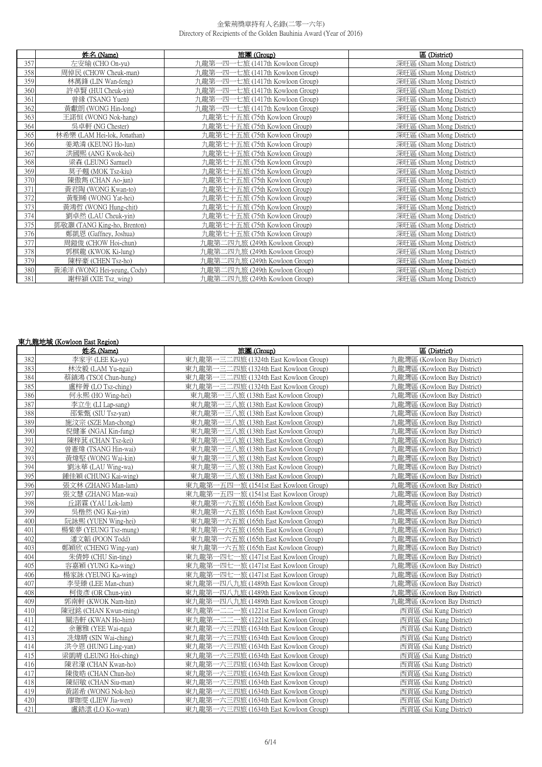|     | 姓名 (Name)                   | 旅團 (Group)                           | 區 (District)             |
|-----|-----------------------------|--------------------------------------|--------------------------|
| 357 | 左安瑜 (CHO On-yu)             | 九龍第一四-<br>一七旅 (1417th Kowloon Group) | 深旺區 (Sham Mong District) |
| 358 | 周倬民 (CHOW Cheuk-man)        | 九龍第一四一七旅 (1417th Kowloon Group)      | 深旺區 (Sham Mong District) |
| 359 | 林萬鋒 (LIN Wan-feng)          | 九龍第一四一七旅 (1417th Kowloon Group)      | 深旺區 (Sham Mong District) |
| 360 | 許卓賢 (HUI Cheuk-yin)         | 九龍第一四一七旅 (1417th Kowloon Group)      | 深旺區 (Sham Mong District) |
| 361 | 曾緣 (TSANG Yuen)             | 九龍第一四一七旅 (1417th Kowloon Group)      | 深旺區 (Sham Mong District) |
| 362 | 黃獻朗 (WONG Hin-long)         | 九龍第一四一七旅 (1417th Kowloon Group)      | 深旺區 (Sham Mong District) |
| 363 | 王諾恒 (WONG Nok-hang)         | 九龍第七十五旅 (75th Kowloon Group)         | 深旺區 (Sham Mong District) |
| 364 | 吳卓軒 (NG Chester)            | 九龍第七十五旅 (75th Kowloon Group)         | 深旺區 (Sham Mong District) |
| 365 | 林希樂 (LAM Hei-lok, Jonathan) | 九龍第七十五旅 (75th Kowloon Group)         | 深旺區 (Sham Mong District) |
| 366 | 姜澔潾 (KEUNG Ho-lun)          | 九龍第七十五旅 (75th Kowloon Group)         | 深旺區 (Sham Mong District) |
| 367 | 洪國熙 (ANG Kwok-hei)          | 九龍第七十五旅 (75th Kowloon Group)         | 深旺區 (Sham Mong District) |
| 368 | 梁森 (LEUNG Samuel)           | 九龍第七十五旅 (75th Kowloon Group)         | 深旺區 (Sham Mong District) |
| 369 | 莫子翹 (MOK Tsz-kiu)           | 九龍第七十五旅 (75th Kowloon Group)         | 深旺區 (Sham Mong District) |
| 370 | 陳傲雋 (CHAN Ao-jun)           | 九龍第七十五旅 (75th Kowloon Group)         | 深旺區 (Sham Mong District) |
| 371 | 黃君陶 (WONG Kwan-to)          | 九龍第七十五旅 (75th Kowloon Group)         | 深旺區 (Sham Mong District) |
| 372 | 黃馹晞 (WONG Yat-hei)          | 九龍第七十五旅 (75th Kowloon Group)         | 深旺區 (Sham Mong District) |
| 373 | 黃鴻哲 (WONG Hung-chit)        | 九龍第七十五旅 (75th Kowloon Group)         | 深旺區 (Sham Mong District) |
| 374 | 劉卓然 (LAU Cheuk-yin)         | 九龍第七十五旅 (75th Kowloon Group)         | 深旺區 (Sham Mong District) |
| 375 | 鄧敬灝 (TANG King-ho, Brenton) | 九龍第七十五旅 (75th Kowloon Group)         | 深旺區 (Sham Mong District) |
| 376 | 鄭凱恩 (Gaffney, Joshua)       | 九龍第七十五旅 (75th Kowloon Group)         | 深旺區 (Sham Mong District) |
| 377 | 周鎧俊 (CHOW Hoi-chun)         | 九龍第二四九旅 (249th Kowloon Group)        | 深旺區 (Sham Mong District) |
| 378 | 郭棋龍 (KWOK Ki-lung)          | 九龍第二四九旅 (249th Kowloon Group)        | 深旺區 (Sham Mong District) |
| 379 | 陳梓豪 (CHEN Tsz-ho)           | 九龍第二四九旅 (249th Kowloon Group)        | 深旺區 (Sham Mong District) |
| 380 | 黃浠洋 (WONG Hei-yeung, Cody)  | 九龍第二四九旅 (249th Kowloon Group)        | 深旺區 (Sham Mong District) |
| 381 | 謝梓潁 (XIE Tsz wing)          | 九龍第二四九旅 (249th Kowloon Group)        | 深旺區 (Sham Mong District) |

## 東九龍地域 (Kowloon East Region)

|     | 姓名 (Name)             | 旅團(Group)                                 | 區 (District)                |
|-----|-----------------------|-------------------------------------------|-----------------------------|
| 382 | 李家宇 (LEE Ka-yu)       | 東九龍第一三二四旅 (1324th East Kowloon Group)     | 九龍灣區 (Kowloon Bay District) |
| 383 | 林汝毅 (LAM Yu-ngai)     | 東九龍第一三二四旅 (1324th East Kowloon Group)     | 九龍灣區 (Kowloon Bay District) |
| 384 | 蔡鎮鴻 (TSOI Chun-hung)  | 東九龍第一三二四旅 (1324th East Kowloon Group)     | 九龍灣區 (Kowloon Bay District) |
| 385 | 盧梓菁 (LO Tsz-ching)    | 東九龍第一三二四旅 (1324th East Kowloon Group)     | 九龍灣區 (Kowloon Bay District) |
| 386 | 何永熙 (HO Wing-hei)     | 東九龍第一三八旅 (138th East Kowloon Group)       | 九龍灣區 (Kowloon Bay District) |
| 387 | 李立生 (LI Lap-sang)     | 東九龍第一三八旅 (138th East Kowloon Group)       | 力龍灣區 (Kowloon Bay District) |
| 388 | 邵紫甄 (SIU Tsz-yan)     | 東九龍第一三八旅 (138th East Kowloon Group)       | 九龍灣區 (Kowloon Bay District) |
| 389 | 施汶宗 (SZE Man-chong)   | 東九龍第一三八旅 (138th East Kowloon Group)       | 九龍灣區 (Kowloon Bay District) |
| 390 | 倪健峯 (NGAI Kin-fung)   | 東九龍第一三八旅 (138th East Kowloon Group)       | 九龍灣區 (Kowloon Bay District) |
| 391 | 陳梓萁 (CHAN Tsz-kei)    | 東九龍第一三八旅 (138th East Kowloon Group)       | 力龍灣區 (Kowloon Bay District) |
| 392 | 曾憲煒 (TSANG Hin-wai)   | 東九龍第一三八旅 (138th East Kowloon Group)       | 九龍灣區 (Kowloon Bay District) |
| 393 | 黃煒堅 (WONG Wai-kin)    | 東九龍第一三八旅 (138th East Kowloon Group)       | 九龍灣區 (Kowloon Bay District) |
| 394 | 劉泳華 (LAU Wing-wa)     | 東九龍第一三八旅 (138th East Kowloon Group)       | 九龍灣區 (Kowloon Bay District) |
| 395 | 鍾佳穎 (CHUNG Kai-wing)  | 東九龍第一三八旅 (138th East Kowloon Group)       | 九龍灣區 (Kowloon Bay District) |
| 396 | 張文林 (ZHANG Man-lam)   | 東九龍第一五四一旅 (1541st East Kowloon Group)     | 九龍灣區 (Kowloon Bay District) |
| 397 | 張文慧 (ZHANG Man-wai)   | 東九龍第一五四一旅 (1541st East Kowloon Group)     | 九龍灣區 (Kowloon Bay District) |
| 398 | 丘諾霖 (YAU Lok-lam)     | 東九龍第一六五旅 (165th East Kowloon Group)       | 九龍灣區 (Kowloon Bay District) |
| 399 | 吳楷然 (NG Kai-yin)      | 東九龍第一六五旅 (165th East Kowloon Group)       | 九龍灣區 (Kowloon Bay District) |
| 400 | 阮詠熙 (YUEN Wing-hei)   | 東九龍第一六五旅 (165th East Kowloon Group)       | 九龍灣區 (Kowloon Bay District) |
| 401 | 楊紫夢 (YEUNG Tsz-mung)  | 東九龍第一六五旅 (165th East Kowloon Group)       | 九龍灣區 (Kowloon Bay District) |
| 402 | 潘文韜 (POON Todd)       | 東九龍第一六五旅 (165th East Kowloon Group)       | 九龍灣區 (Kowloon Bay District) |
| 403 | 鄭穎欣 (CHENG Wing-yan)  | 東九龍第一六五旅 (165th East Kowloon Group)       | 九龍灣區 (Kowloon Bay District) |
| 404 | 朱倩婷 (CHU Sin-ting)    | 東九龍第一四七一旅 (1471st East Kowloon Group)     | 九龍灣區 (Kowloon Bay District) |
| 405 | 容嘉穎 (YUNG Ka-wing)    | 東九龍第一四七一旅 (1471st East Kowloon Group)     | 九龍灣區 (Kowloon Bay District) |
| 406 | 楊家詠 (YEUNG Ka-wing)   | 東九龍第<br>-四七一旅 (1471st East Kowloon Group) | 九龍灣區 (Kowloon Bay District) |
| 407 | 李旻臻 (LEE Man-chun)    | 東九龍第一四八九旅 (1489th East Kowloon Group)     | 九龍灣區 (Kowloon Bay District) |
| 408 | 柯俊彥 (OR Chun-yin)     | 東九龍第一四八九旅 (1489th East Kowloon Group)     | 九龍灣區 (Kowloon Bay District) |
| 409 | 郭南軒 (KWOK Nam-hin)    | 東九龍第一四八九旅 (1489th East Kowloon Group)     | 九龍灣區 (Kowloon Bay District) |
| 410 | 陳冠銘 (CHAN Kwun-ming)  | 東九龍第一二二一旅 (1221st East Kowloon Group)     | 西貢區 (Sai Kung District)     |
| 411 | 關浩軒 (KWAN Ho-him)     | 東九龍第一二二一旅 (1221st East Kowloon Group)     | 西貢區 (Sai Kung District)     |
| 412 | 余蕙雅 (YEE Wai-nga)     | 東九龍第一六三四旅 (1634th East Kowloon Group)     | 西貢區 (Sai Kung District)     |
| 413 | 冼煒晴 (SIN Wai-ching)   | 東九龍第一六三四旅 (1634th East Kowloon Group)     | 西貢區 (Sai Kung District)     |
| 414 | 洪令恩 (HUNG Ling-yan)   | 東九龍第一六三四旅 (1634th East Kowloon Group)     | 西貢區 (Sai Kung District)     |
| 415 | 梁凱晴 (LEUNG Hoi-ching) | 東九龍第一六三四旅 (1634th East Kowloon Group)     | 西貢區 (Sai Kung District)     |
| 416 | 陳君濠 (CHAN Kwan-ho)    | 東九龍第一六三四旅 (1634th East Kowloon Group)     | 西貢區 (Sai Kung District)     |
| 417 | 陳俊晧 (CHAN Chun-ho)    | 東九龍第一六三四旅 (1634th East Kowloon Group)     | 西貢區 (Sai Kung District)     |
| 418 | 陳紹敏 (CHAN Siu-man)    | 東九龍第一六三四旅 (1634th East Kowloon Group)     | 西貢區 (Sai Kung District)     |
| 419 | 黃諾希 (WONG Nok-hei)    | 東九龍第一六三四旅 (1634th East Kowloon Group)     | 西貢區 (Sai Kung District)     |
| 420 | 廖珈雯 (LIEW Jia-wen)    | 東九龍第一六三四旅 (1634th East Kowloon Group)     | 西貢區 (Sai Kung District)     |
| 421 | 盧鋯澐 (LO Ko-wan)       | 東九龍第一六三四旅 (1634th East Kowloon Group)     | 西貢區 (Sai Kung District)     |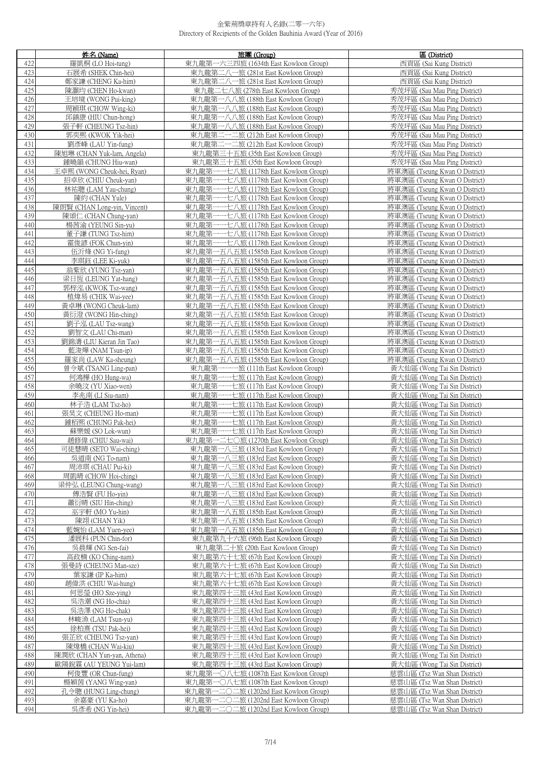|            | 姓名 (Name)                                         | 旅團 (Group)                                                                      | 區 (District)                                                   |
|------------|---------------------------------------------------|---------------------------------------------------------------------------------|----------------------------------------------------------------|
| 422        | 羅凱桐 (LO Hoi-tung)                                 | 東九龍第一六三四旅 (1634th East Kowloon Group)                                           | 西貢區 (Sai Kung District)                                        |
| 423        | 石展希 (SHEK Chin-hei)                               | 東九龍第二八一旅 (281st East Kowloon Group)                                             | 西貢區 (Sai Kung District)                                        |
| 424        | 鄭家謙 (CHENG Ka-him)                                | 東九龍第二八一旅 (281st East Kowloon Group)                                             | 西貢區 (Sai Kung District)                                        |
| 425        | 陳灝均 (CHEN Ho-kwan)                                | 東九龍二七八旅 (278th East Kowloon Group)                                              | 秀茂坪區 (Sau Mau Ping District)                                   |
| 426        | 王培境 (WONG Pui-king)                               | 東九龍第一八八旅 (188th East Kowloon Group)                                             | 秀茂坪區 (Sau Mau Ping District)                                   |
| 427        | 周穎琪 (CHOW Wing-ki)                                | 東九龍第一八八旅 (188th East Kowloon Group)                                             | 秀茂坪區 (Sau Mau Ping District)                                   |
| 428        | 邱鎮康 (HIU Chun-hong)                               | 東九龍第一八八旅 (188th East Kowloon Group)                                             | 秀茂坪區 (Sau Mau Ping District)                                   |
| 429        | 張子軒 (CHEUNG Tsz-hin)                              | 東九龍第一八八旅 (188th East Kowloon Group)                                             | 秀茂坪區 (Sau Mau Ping District)                                   |
| 430        | 郭奕熙 (KWOK Yik-hei)                                | 東九龍第二一二旅 (212th East Kowloon Group)                                             | 秀茂坪區 (Sau Mau Ping District)                                   |
| 431<br>432 | 劉彥峰 (LAU Yin-fung)                                | 東九龍第二一二旅 (212th East Kowloon Group)<br>東九龍第三十五旅 (35th East Kowloon Group)       | 秀茂坪區 (Sau Mau Ping District)                                   |
| 433        | 陳旭琳 (CHAN Yuk-lam, Angela)<br>鍾曉韻 (CHUNG Hiu-wan) | 東九龍第三十五旅 (35th East Kowloon Group)                                              | 秀茂坪區 (Sau Mau Ping District)<br>秀茂坪區 (Sau Mau Ping District)   |
| 434        | 王卓熙 (WONG Cheuk-hei, Ryan)                        | 東九龍第一一七八旅 (1178th East Kowloon Group)                                           | 將軍澳區 (Tseung Kwan O District)                                  |
| 435        | 招卓欣 (CHIU Cheuk-yan)                              | 東九龍第一一七八旅 (1178th East Kowloon Group)                                           | 將軍澳區 (Tseung Kwan O District)                                  |
| 436        | 林祐聰 (LAM Yau-chung)                               | 東九龍第一一七八旅 (1178th East Kowloon Group)                                           | 將軍澳區 (Tseung Kwan O District)                                  |
| 437        | 陳約 (CHAN Yule)                                    | 東九龍第一一七八旅 (1178th East Kowloon Group)                                           | 將軍澳區 (Tseung Kwan O District)                                  |
| 438        | 陳朗賢 (CHAN Long-yin, Vincent)                      | 東九龍第<br>一一七八旅 (1178th East Kowloon Group)                                       | 將軍澳區 (Tseung Kwan O District)                                  |
| 439        | 陳頌仁 (CHAN Chung-yan)                              | 東九龍第<br>一七八旅 (1178th East Kowloon Group)                                        | 將軍澳區 (Tseung Kwan O District)                                  |
| 440        | 楊茜渝 (YEUNG Sin-yu)                                | 東九龍第<br>一七八旅 (1178th East Kowloon Group)                                        | 將軍澳區 (Tseung Kwan O District)                                  |
| 441        | 董子謙 (TUNG Tsz-him)                                | 東九龍第一一七八旅 (1178th East Kowloon Group)                                           | 將軍澳區 (Tseung Kwan O District)                                  |
| 442        | 霍俊諺 (FOK Chun-yin)                                | 東九龍第一一七八旅 (1178th East Kowloon Group)                                           | 將軍澳區 (Tseung Kwan O District)                                  |
| 443        | 伍沂烽 (NG Yi-fung)                                  | 東九龍第一五八五旅 (1585th East Kowloon Group)                                           | 將軍澳區 (Tseung Kwan O District)                                  |
| 444        | 李琪鈺 (LEE Ki-yuk)                                  | 東九龍第一五八五旅 (1585th East Kowloon Group)                                           | 將軍澳區 (Tseung Kwan O District)                                  |
| 445        | 翁紫欣 (YUNG Tsz-yan)                                | 東九龍第一五八五旅 (1585th East Kowloon Group)                                           | 將軍澳區 (Tseung Kwan O District)                                  |
| 446        | 梁日恆 (LEUNG Yat-hang)                              | 東九龍第一五八五旅 (1585th East Kowloon Group)                                           | 將軍澳區 (Tseung Kwan O District)                                  |
| 447<br>448 | 郭梓泓 (KWOK Tsz-wang)<br>植煒易 (CHIK Wai-yee)         | 東九龍第一五八五旅 (1585th East Kowloon Group)<br>東九龍第一五八五旅 (1585th East Kowloon Group)  | 將軍澳區 (Tseung Kwan O District)<br>將軍澳區 (Tseung Kwan O District) |
| 449        | 黃卓琳 (WONG Cheuk-lam)                              | 東九龍第一五八五旅 (1585th East Kowloon Group)                                           | 將軍澳區 (Tseung Kwan O District)                                  |
| 450        | 黃衍澄 (WONG Hin-ching)                              | 東九龍第一五八五旅 (1585th East Kowloon Group)                                           | 將軍澳區 (Tseung Kwan O District)                                  |
| 451        | 劉子泓 (LAU Tsz-wang)                                | 東九龍第一五八五旅 (1585th East Kowloon Group)                                           | 將軍澳區 (Tseung Kwan O District)                                  |
| 452        | 劉智文 (LAU Chi-man)                                 | 東九龍第一五八五旅 (1585th East Kowloon Group)                                           | 將軍澳區 (Tseung Kwan O District)                                  |
| 453        | 劉錦濤 (LIU Kieran Jin Tao)                          | 東九龍第一五八五旅 (1585th East Kowloon Group)                                           | 將軍澳區 (Tseung Kwan O District)                                  |
| 454        | 藍浚燁 (NAM Tsun-ip)                                 | 東九龍第一五八五旅 (1585th East Kowloon Group)                                           | 將軍澳區 (Tseung Kwan O District)                                  |
| 455        | 羅家尚 (LAW Ka-sheung)                               | 東九龍第一五八五旅 (1585th East Kowloon Group)                                           | 將軍澳區 (Tseung Kwan O District)                                  |
| 456        | 曾令斌 (TSANG Ling-pan)                              | 東九龍第一一一旅 (111th East Kowloon Group)                                             | 黃大仙區 (Wong Tai Sin District)                                   |
| 457        | 何鴻樺 (HO Hung-wa)                                  | 東九龍第一一七旅 (117th East Kowloon Group)                                             | 黃大仙區 (Wong Tai Sin District)                                   |
| 458        | 余曉汶 (YU Xiao-wen)                                 | 東九龍第一一七旅 (117th East Kowloon Group)                                             | 黃大仙區 (Wong Tai Sin District)                                   |
| 459        | 李兆南 (LI Siu-nam)                                  | 東九龍第一一七旅 (117th East Kowloon Group)                                             | 黃大仙區 (Wong Tai Sin District)                                   |
| 460        | 林子浩 (LAM Tsz-ho)                                  | 東九龍第一一七旅 (117th East Kowloon Group)                                             | 黃大仙區 (Wong Tai Sin District)                                   |
| 461        | 張昊文 (CHEUNG Ho-man)                               | 東九龍第-<br>-- 七旅 (117th East Kowloon Group)                                       | 黃大仙區 (Wong Tai Sin District)                                   |
| 462<br>463 | 鍾栢熙 (CHUNG Pak-hei)<br>蘇樂媛 (SO Lok-wun)           | 東九龍第一-<br>-七旅 (117th East Kowloon Group)<br>東九龍第一一七旅 (117th East Kowloon Group) | 黃大仙區 (Wong Tai Sin District)<br>黃大仙區 (Wong Tai Sin District)   |
| 464        | 趙修偉 (CHIU Sau-wai)                                | 東九龍第一二七〇旅 (1270th East Kowloon Group)                                           | 黃大仙區 (Wong Tai Sin District)                                   |
| 465        | 司徒慧晴 (SETO Wai-ching)                             | 東九龍第一八三旅 (183rd East Kowloon Group)                                             | 黃大仙區 (Wong Tai Sin District)                                   |
| 466        | 吳道南 (NG To-nam)                                   | 東九龍第一八二旅 (183rd East Kowloon Group)                                             | 黃大仙區 (Wong Tai Sin District)                                   |
| 467        | 周沛琪 (CHAU Pui-ki)                                 | 東九龍第一八三旅 (183rd East Kowloon Group)                                             | 黃大仙區 (Wong Tai Sin District)                                   |
| 468        | 周凱晴 (CHOW Hoi-ching)                              | 東九龍第一八三旅 (183rd East Kowloon Group)                                             | 黃大仙區 (Wong Tai Sin District)                                   |
| 469        | 梁仲弘 (LEUNG Chung-wang)                            | 東九龍第一八三旅 (183rd East Kowloon Group)                                             | 黃大仙區 (Wong Tai Sin District)                                   |
| 470        | 傅浩賢 (FU Ho-yin)                                   | 東九龍第一八三旅 (183rd East Kowloon Group)                                             | 黃大仙區 (Wong Tai Sin District)                                   |
| 471        | 蕭衍晴 (SIU Hin-ching)                               | 東九龍第一八三旅 (183rd East Kowloon Group)                                             | 黃大仙區 (Wong Tai Sin District)                                   |
| 472        | 巫宇軒 (MO Yu-hin)                                   | 東九龍第一八五旅 (185th East Kowloon Group)                                             | 黃大仙區 (Wong Tai Sin District)                                   |
| 473        | 陳翊 (CHAN Yik)                                     | 東九龍第一八五旅 (185th East Kowloon Group)                                             | 黃大仙區 (Wong Tai Sin District)                                   |
| 474        | 藍婉怡 (LAM Yuen-yee)                                | 東九龍第一八五旅 (185th East Kowloon Group)                                             | 黃大仙區 (Wong Tai Sin District)                                   |
| 475        | 潘展科 (PUN Chin-for)                                | 東九龍第九十六旅 (96th East Kowloon Group)                                              | 黃大仙區 (Wong Tai Sin District)                                   |
| 476<br>477 | 吳晨輝 (NG Sen-fai)<br>高政楠 (KO Ching-nam)            | 東九龍第二十旅 (20th East Kowloon Group)<br>東九龍第六十七旅 (67th East Kowloon Group)         | 黃大仙區 (Wong Tai Sin District)<br>黃大仙區 (Wong Tai Sin District)   |
| 478        | 張曼詩 (CHEUNG Man-sze)                              | 東九龍第六十七旅 (67th East Kowloon Group)                                              | 黃大仙區 (Wong Tai Sin District)                                   |
| 479        | 葉家謙 (IP Ka-him)                                   | 東九龍第六十七旅 (67th East Kowloon Group)                                              | 黃大仙區 (Wong Tai Sin District)                                   |
| 480        | 趙偉洪 (CHIU Wai-hung)                               | 東九龍第六十七旅 (67th East Kowloon Group)                                              | 黃大仙區 (Wong Tai Sin District)                                   |
| 481        | 何思瑩 (HO Sze-ying)                                 | 東九龍第四十三旅 (43rd East Kowloon Group)                                              | 黃大仙區 (Wong Tai Sin District)                                   |
| 482        | 吳浩潮 (NG Ho-chiu)                                  | 東九龍第四十三旅 (43rd East Kowloon Group)                                              | 黃大仙區 (Wong Tai Sin District)                                   |
| 483        | 吳浩澤 (NG Ho-chak)                                  | 東九龍第四十三旅 (43rd East Kowloon Group)                                              | 黃大仙區 (Wong Tai Sin District)                                   |
| 484        | 林峻漁 (LAM Tsun-yu)                                 | 東九龍第四十三旅 (43rd East Kowloon Group)                                              | 黃大仙區 (Wong Tai Sin District)                                   |
| 485        | 徐柏熹 (TSU Pak-hei)                                 | 東九龍第四十三旅 (43rd East Kowloon Group)                                              | 黃大仙區 (Wong Tai Sin District)                                   |
| 486        | 張芷欣 (CHEUNG Tsz-yan)                              | 東九龍第四十三旅 (43rd East Kowloon Group)                                              | 黃大仙區 (Wong Tai Sin District)                                   |
| 487        | 陳煒橋 (CHAN Wai-kiu)                                | 東九龍第四十三旅 (43rd East Kowloon Group)                                              | 黃大仙區 (Wong Tai Sin District)                                   |
| 488        | 陳潤欣 (CHAN Yun-yan, Athena)                        | 東九龍第四十三旅 (43rd East Kowloon Group)                                              | 黃大仙區 (Wong Tai Sin District)                                   |
| 489        | 歐陽銳霖 (AU YEUNG Yui-lam)                           | 東九龍第四十三旅 (43rd East Kowloon Group)                                              | 黃大仙區 (Wong Tai Sin District)                                   |
| 490<br>491 | 柯俊豐 (OR Chun-fung)<br>楊穎茵 (YANG Wing-yan)         | 東九龍第一〇八七旅 (1087th East Kowloon Group)                                           | 慈雲山區 (Tsz Wan Shan District)<br>慈雲山區 (Tsz Wan Shan District)   |
| 492        | 孔令聰 (HUNG Ling-chung)                             | 東九龍第一〇八七旅 (1087th East Kowloon Group)<br>東九龍第一二〇二旅 (1202nd East Kowloon Group)  | 慈雲山區 (Tsz Wan Shan District)                                   |
| 493        | 余嘉豪 (YU Ka-ho)                                    | 東九龍第一二〇二旅 (1202nd East Kowloon Group)                                           | 慈雲山區 (Tsz Wan Shan District)                                   |
| 494        | 吳彥希 (NG Yin-hei)                                  | 東九龍第一二〇二旅 (1202nd East Kowloon Group)                                           | 慈雲山區 (Tsz Wan Shan District)                                   |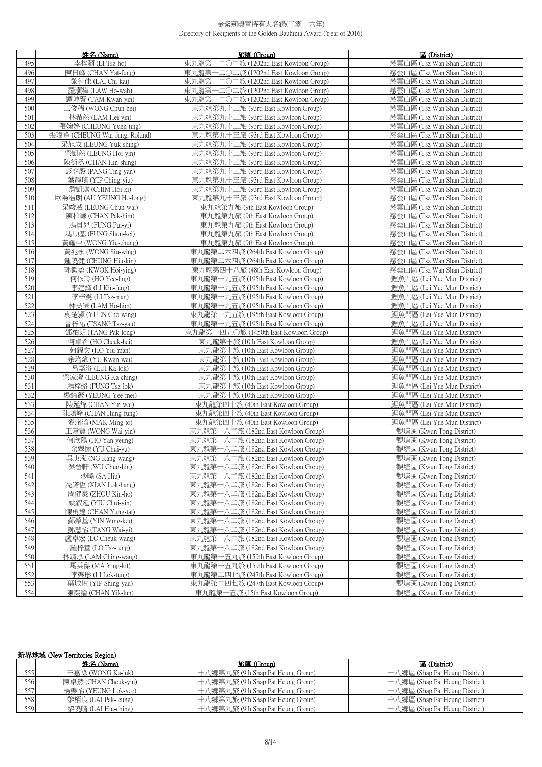|            | 姓名 (Name)                                  | 旅團 (Group)                                                                 | 區 (District)                                               |
|------------|--------------------------------------------|----------------------------------------------------------------------------|------------------------------------------------------------|
| 495        | 李梓灝 (LI Tsz-ho)                            | 東九龍第-<br>-二〇二旅 (1202nd East Kowloon Group)                                 | 慈雲山區 (Tsz Wan Shan District)                               |
| 496        | 陳日峰 (CHAN Yat-fung)                        | 東九龍第一二〇二旅 (1202nd East Kowloon Group)                                      | 慈雲山區 (Tsz Wan Shan District)                               |
| 497        | 黎智佳 (LAI Chi-kai)                          | 東九龍第一二〇二旅 (1202nd East Kowloon Group)                                      | 慈雲山區 (Tsz Wan Shan District)                               |
| 498        | 羅灝樺 (LAW Ho-wah)                           | 東九龍第一二〇二旅 (1202nd East Kowloon Group)                                      | 慈雲山區 (Tsz Wan Shan District)                               |
| 499        | 譚坤賢 (TAM Kwan-yin)                         | 東九龍第一二〇二旅 (1202nd East Kowloon Group)                                      | 慈雲山區 (Tsz Wan Shan District)                               |
| 500        | 王俊稀 (WONG Chun-hei)                        | 東九龍第九十三旅 (93rd East Kowloon Group)                                         | 慈雲山區 (Tsz Wan Shan District)                               |
| 501        | 林希然 (LAM Hei-yin)                          | 東九龍第九十三旅 (93rd East Kowloon Group)                                         | 慈雲山區 (Tsz Wan Shan District)                               |
| 502        | 張婉婷 (CHEUNG Yuen-ting)                     | 東九龍第九十三旅 (93rd East Kowloon Group)                                         | 慈雲山區 (Tsz Wan Shan District)                               |
| 503        | 張瑋峰 (CHEUNG Wai-fung, Roland)              | 東九龍第九十三旅 (93rd East Kowloon Group)                                         | 慈雲山區 (Tsz Wan Shan District)                               |
| 504        | 梁旭成 (LEUNG Yuk-shing)                      | 東九龍第九十三旅 (93rd East Kowloon Group)                                         | 慈雲山區 (Tsz Wan Shan District)                               |
| 505        | 梁凱然 (LEUNG Hoi-yin)                        | 東九龍第九十三旅 (93rd East Kowloon Group)                                         | 慈雲山區 (Tsz Wan Shan District)                               |
| 506        | 陳衍丞 (CHAN Hin-shing)                       | 東九龍第九十三旅 (93rd East Kowloon Group)                                         | 慈雲山區 (Tsz Wan Shan District)                               |
| 507        | 彭庭殷 (PANG Ting-yan)                        | 東九龍第九十三旅 (93rd East Kowloon Group)                                         | 慈雲山區 (Tsz Wan Shan District)                               |
| 508        | 葉靜瑤 (YIP Ching-yiu)                        | 東九龍第九十三旅 (93rd East Kowloon Group)                                         | 慈雲山區 (Tsz Wan Shan District)                               |
| 509        | 詹凱淇 (CHIM Hoi-ki)                          | 東九龍第九十三旅 (93rd East Kowloon Group)                                         | 慈雲山區 (Tsz Wan Shan District)                               |
| 510        | 歐陽浩朗 (AU YEUNG Ho-long)                    | 東九龍第九十三旅 (93rd East Kowloon Group)                                         | 慈雲山區 (Tsz Wan Shan District)                               |
| 511        | 梁竣威 (LEUNG Chun-wai)                       | 東九龍第九旅 (9th East Kowloon Group)                                            | 慈雲山區 (Tsz Wan Shan District)                               |
| 512        | 陳柏謙 (CHAN Pak-him)                         | 東九龍第九旅 (9th East Kowloon Group)                                            | 慈雲山區 (Tsz Wan Shan District)                               |
| 513        | 馮貝兒 (FUNG Pui-vi)                          | 東九龍第九旅 (9th East Kowloon Group)                                            | 慈雲山區 (Tsz Wan Shan District)                               |
| 514        | 馮順基 (FUNG Shun-kei)                        | 東九龍第九旅 (9th East Kowloon Group)                                            | 慈雲山區 (Tsz Wan Shan District)                               |
| 515        | 黃耀中 (WONG Yiu-chung)                       | 東九龍第九旅 (9th East Kowloon Group)                                            | 慈雲山區 (Tsz Wan Shan District)                               |
| 516        | 黃兆永 (WONG Siu-wing)                        | 東九龍第二六四旅 (264th East Kowloon Group)                                        | 慈雲山區 (Tsz Wan Shan District)                               |
| 517        | 鍾曉健 (CHUNG Hiu-kin)                        | 東九龍第二六四旅 (264th East Kowloon Group)                                        | 慈雲山區 (Tsz Wan Shan District)                               |
| 518        | 郭鎧盈 (KWOK Hoi-ying)                        | 東九龍第四十八旅 (48th East Kowloon Group)                                         | 慈雲山區 (Tsz Wan Shan District)                               |
| 519        | 何依玲 (HO Yee-ling)                          | 東九龍第一九五旅 (195th East Kowloon Group)                                        | 鯉魚門區 (Lei Yue Mun District)                                |
| 520        | 李建鋒 (LI Kin-fung)                          | 東九龍第一九五旅 (195th East Kowloon Group)                                        | 鯉魚門區 (Lei Yue Mun District)                                |
| 521        | 李梓雯 (LI Tsz-man)                           | 東九龍第一九五旅 (195th East Kowloon Group)                                        | 鯉魚門區 (Lei Yue Mun District)                                |
| 522        | 林昊謙 (LAM Ho-him)                           | 東九龍第一九五旅 (195th East Kowloon Group)                                        | 鯉魚門區 (Lei Yue Mun District)<br>鯉魚門區 (Lei Yue Mun District) |
| 523<br>524 | 袁楚潁 (YUEN Cho-wing)<br>曾梓祐 (TSANG Tsz-yau) | 東九龍第一九五旅 (195th East Kowloon Group)<br>東九龍第一九五旅 (195th East Kowloon Group) | 鯉魚門區 (Lei Yue Mun District)                                |
| 525        | 鄧柏朗 (TANG Pak-long)                        | 東九龍第一四五〇旅 (1450th East Kowloon Group)                                      | 鯉魚門區 (Lei Yue Mun District)                                |
| 526        | 何卓希 (HO Cheuk-hei)                         | 東九龍第十旅 (10th East Kowloon Group)                                           | 鯉魚門區 (Lei Yue Mun District)                                |
| 527        | 何耀文 (HO Yiu-man)                           | 東九龍第十旅 (10th East Kowloon Group)                                           | 鯉魚門區 (Lei Yue Mun District)                                |
| 528        | 余均煒 (YU Kwan-wai)                          | 東九龍第十旅 (10th East Kowloon Group)                                           | 鯉魚門區 (Lei Yue Mun District)                                |
| 529        | 呂嘉洛 (LUI Ka-lok)                           | 東九龍第十旅 (10th East Kowloon Group)                                           | 鯉魚門區 (Lei Yue Mun District)                                |
| 530        | 梁家澄 (LEUNG Ka-ching)                       | 東九龍第十旅 (10th East Kowloon Group)                                           | 鯉魚門區 (Lei Yue Mun District)                                |
| 531        | 馮梓絡 (FUNG Tsz-lok)                         | 東九龍第十旅 (10th East Kowloon Group)                                           | 鯉魚門區 (Lei Yue Mun District)                                |
| 532        | 楊綺薇 (YEUNG Yee-mei)                        | 東九龍第十旅 (10th East Kowloon Group)                                           | 鯉魚門區 (Lei Yue Mun District)                                |
| 533        | 陳延煒 (CHAN Yin-wai)                         | 東九龍第四十旅 (40th East Kowloon Group)                                          | 鯉魚門區 (Lei Yue Mun District)                                |
| 534        | 陳鴻峰 (CHAN Hung-fung)                       | 東九龍第四十旅 (40th East Kowloon Group)                                          | 鯉魚門區 (Lei Yue Mun District)                                |
| 535        | 麥洺滔 (MAK Ming-to)                          | 東九龍第四十旅 (40th East Kowloon Group)                                          | 鯉魚門區 (Lei Yue Mun District)                                |
| 536        | 王韋賢 (WONG Wai-vin)                         | 東九龍第一八二旅 (182nd East Kowloon Group)                                        | 觀塘區 (Kwun Tong District)                                   |
| 537        | 何欣陽 (HO Yan-yeung)                         | 東九龍第一八二旅 (182nd East Kowloon Group)                                        | 觀塘區 (Kwun Tong District)                                   |
| 538        | 余翠愉 (YU Chui-yu)                           | 東九龍第一八二旅 (182nd East Kowloon Group)                                        | 觀塘區 (Kwun Tong District)                                   |
| 539        | 吳庚泓 (NG Kang-wang)                         | 東九龍第一八二旅 (182nd East Kowloon Group)                                        | 觀塘區 (Kwun Tong District)                                   |
| 540        | 吳晉軒 (WU Chun-hin)                          | 東九龍第一八二旅 (182nd East Kowloon Group)                                        | 觀塘區 (Kwun Tong District)                                   |
| 541        | 沙曉 (SA Hiu)                                | 東九龍第一八二旅 (182nd East Kowloon Group)                                        | 觀塘區 (Kwun Tong District)                                   |
| 542        | 冼諾恆 (XIAN Lok-hang)                        | 東九龍第一八二旅 (182nd East Kowloon Group)<br>東九龍第一八二旅 (182nd East Kowloon Group) | 觀塘區 (Kwun Tong District)                                   |
| 543<br>544 | 周健豪 (ZHOU Kin-ho)                          | 東九龍第一八二旅 (182nd East Kowloon Group)                                        | 觀塘區 (Kwun Tong District)<br>觀塘區 (Kwun Tong District)       |
| 545        | 姚叙延 (YIU Chui-yin)<br>陳勇達 (CHAN Yung-tat)  | 東九龍第一八二旅 (182nd East Kowloon Group)                                        | 觀塘區 (Kwun Tong District)                                   |
| 546        | 鄞榮基 (YIN Wing-kei)                         | 東九龍第一八二旅 (182nd East Kowloon Group)                                        | 觀塘區 (Kwun Tong District)                                   |
| 547        | 鄧慧怡 (TANG Wai-yi)                          | 東九龍第一八二旅 (182nd East Kowloon Group)                                        | 觀塘區 (Kwun Tong District)                                   |
| 548        | 盧卓宏 (LO Cheuk-wang)                        | 東九龍第一八二旅 (182nd East Kowloon Group)                                        | 觀塘區 (Kwun Tong District)                                   |
| 549        | 羅梓童 (LO Tsz-tung)                          | 東九龍第一八二旅 (182nd East Kowloon Group)                                        | 觀塘區 (Kwun Tong District)                                   |
| 550        | 林靖泓 (LAM Ching-wang)                       | 東九龍第一五九旅 (159th East Kowloon Group)                                        | 觀塘區 (Kwun Tong District)                                   |
| 551        | 馬英傑 (MA Ying-kit)                          | 東九龍第一五九旅 (159th East Kowloon Group)                                        | 觀塘區 (Kwun Tong District)                                   |
| 552        | 李樂彤 (LI Lok-tung)                          | 東九龍第二四七旅 (247th East Kowloon Group)                                        | 觀塘區 (Kwun Tong District)                                   |
| 553        | 葉城佑 (YIP Shing-yau)                        | 東九龍第二四七旅 (247th East Kowloon Group)                                        | 觀塘區 (Kwun Tong District)                                   |
| 554        | 陳奕綸 (CHAN Yik-lun)                         | 東九龍第十五旅 (15th East Kowloon Group)                                          | 觀塘區 (Kwun Tong District)                                   |

# 新界地域 (New Territories Region)

|           | 姓名 (Name)            | 旅團 (Group)                        | 區 (District)                   |
|-----------|----------------------|-----------------------------------|--------------------------------|
| ا را را ر | 王嘉祿 (WONG Ka-luk)    | 十八鄉第九旅 (9th Shap Pat Heung Group) | 十八鄉區 (Shap Pat Heung District) |
| 556       | 陳卓然 (CHAN Cheuk-yin) | 十八鄉第九旅 (9th Shap Pat Heung Group) | 十八鄉區 (Shap Pat Heung District) |
|           | 楊樂怡 (YEUNG Lok-yee)  | 十八鄉第九旅 (9th Shap Pat Heung Group) | 十八鄉區 (Shap Pat Heung District) |
| 5581      | 黎栢良 (LAI Pak-leung)  | 十八鄉第九旅 (9th Shap Pat Heung Group) | 十八鄉區 (Shap Pat Heung District) |
| 5591      | 黎曉晴 (LAI Hiu-ching)  | 十八鄉第九旅 (9th Shap Pat Heung Group) | 十八鄉區 (Shap Pat Heung District) |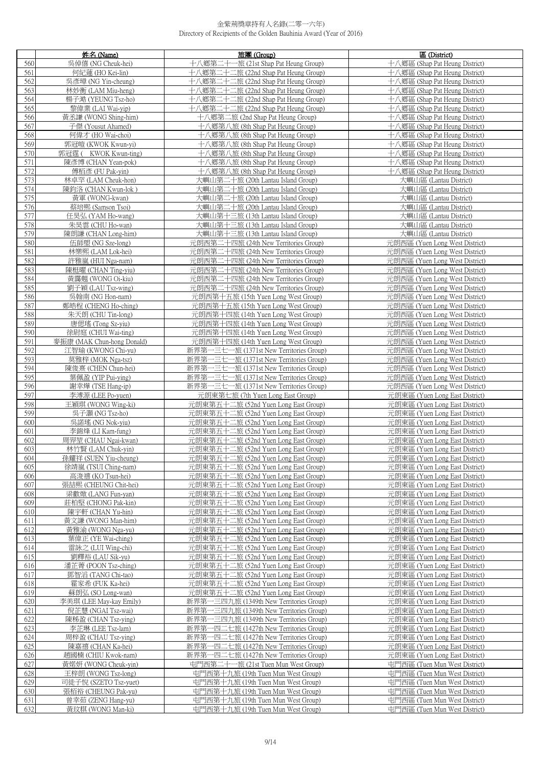|            | 姓名 (Name)                                     | 旅團(Group)                                                                    | 區 (District)                                                     |
|------------|-----------------------------------------------|------------------------------------------------------------------------------|------------------------------------------------------------------|
| 560        | 吳倬僖 (NG Cheuk-hei)                            | 十八鄉第二十一旅 (21st Shap Pat Heung Group)                                         | 十八鄉區 (Shap Pat Heung District)                                   |
| 561        | 何紀蓮 (HO Kei-lin)                              | 十八鄉第二十二旅 (22nd Shap Pat Heung Group)                                         | 十八鄉區 (Shap Pat Heung District)                                   |
| 562        | 吳彥璋 (NG Yin-cheung)                           | 十八鄉第二十二旅 (22nd Shap Pat Heung Group)                                         | 十八鄉區 (Shap Pat Heung District)                                   |
| 563        | 林妙衡 (LAM Miu-heng)                            | 十八鄉第二十二旅 (22nd Shap Pat Heung Group)                                         | 十八鄉區 (Shap Pat Heung District)                                   |
| 564        | 楊子澔 (YEUNG Tsz-ho)                            | 十八鄉第二十二旅 (22nd Shap Pat Heung Group)                                         | 十八鄉區 (Shap Pat Heung District)                                   |
| 565        | 黎偉業 (LAI Wai-yip)                             | 十八鄉第二十二旅 (22nd Shap Pat Heung Group)                                         | 十八鄉區 (Shap Pat Heung District)                                   |
| 566        | 黃丞謙 (WONG Shing-him)                          | 十八鄉第二旅 (2nd Shap Pat Heung Group)                                            | 十八鄉區 (Shap Pat Heung District)                                   |
| 567        | 子傑 (Yousut Ahamed)                            | 十八鄉第八旅 (8th Shap Pat Heung Group)                                            | 十八鄉區 (Shap Pat Heung District)                                   |
| 568        | 何偉才 (HO Wai-choi)                             | 十八鄉第八旅 (8th Shap Pat Heung Group)                                            | 十八鄉區 (Shap Pat Heung District)                                   |
| 569<br>570 | 郭冠皚 (KWOK Kwun-yi)<br>郭冠霆 ( KWOK Kwun-ting)   | 十八鄉第八旅 (8th Shap Pat Heung Group)<br>十八鄉第八旅 (8th Shap Pat Heung Group)       | 十八鄉區 (Shap Pat Heung District)<br>十八鄉區 (Shap Pat Heung District) |
| 571        | 陳彥博 (CHAN Yean-pok)                           | 十八鄉第八旅 (8th Shap Pat Heung Group)                                            | 十八鄉區 (Shap Pat Heung District)                                   |
| 572        | 傅栢彥 (FU Pak-yin)                              | 十八鄉第八旅 (8th Shap Pat Heung Group)                                            | 十八鄉區 (Shap Pat Heung District)                                   |
| 573        | 林卓罕 (LAM Cheuk-hon)                           | 大嶼山第二十旅 (20th Lantau Island Group)                                           | 大嶼山區 (Lantau District)                                           |
| 574        | 陳鈞洛 (CHAN Kwun-lok)                           | 大嶼山第二十旅 (20th Lantau Island Group)                                           | 大嶼山區 (Lantau District)                                           |
| 575        | 黃軍 (WONG-kwan)                                | 大嶼山第二十旅 (20th Lantau Island Group)                                           | 大嶼山區 (Lantau District)                                           |
| 576        | 蔡培熙 (Samson Tsoi)                             | 大嶼山第二十旅 (20th Lantau Island Group)                                           | 大嶼山區 (Lantau District)                                           |
| 577        | 任昊弘 (YAM Ho-wang)                             | 大嶼山第十三旅 (13th Lantau Island Group)                                           | 大嶼山區 (Lantau District)                                           |
| 578        | 朱昊雲 (CHU Ho-wan)                              | 大嶼山第十三旅 (13th Lantau Island Group)                                           | 大嶼山區 (Lantau District)                                           |
| 579        | 陳朗謙 (CHAN Long-him)                           | 大嶼山第十三旅 (13th Lantau Island Group)                                           | 大嶼山區 (Lantau District)                                           |
| 580        | 伍師塱 (NG Sze-long)                             | 元朗西第二十四旅 (24th New Territories Group)                                        | 元朗西區 (Yuen Long West District)                                   |
| 581        | 林樂熙 (LAM Lok-hei)                             | 元朗西第二十四旅 (24th New Territories Group)                                        | 元朗西區 (Yuen Long West District)                                   |
| 582        | 許雅嵐 (HUI Nga-nam)                             | 元朗西第二十四旅 (24th New Territories Group)                                        | 元朗西區 (Yuen Long West District)                                   |
| 583        | 陳梃曜 (CHAN Ting-yiu)                           | 元朗西第二十四旅 (24th New Territories Group)                                        | 元朗西區 (Yuen Long West District)                                   |
| 584        | 黃靄翹 (WONG Oi-kiu)                             | 元朗西第二十四旅 (24th New Territories Group)                                        | 元朗西區 (Yuen Long West District)                                   |
| 585        | 劉子穎 (LAU Tsz-wing)<br>吳翰南 (NG Hon-nam)        | 元朗西第二十四旅 (24th New Territories Group)                                        | 元朗西區 (Yuen Long West District)<br>元朗西區 (Yuen Long West District) |
| 586<br>587 | 鄭皓程 (CHENG Ho-ching)                          | 元朗西第十五旅 (15th Yuen Long West Group)<br>元朗西第十五旅 (15th Yuen Long West Group)   | 元朗西區 (Yuen Long West District)                                   |
| 588        | 朱天朗 (CHU Tin-long)                            | 元朗西第十四旅 (14th Yuen Long West Group)                                          | 元朗西區 (Yuen Long West District)                                   |
| 589        | 唐偲瑤 (Tong Sz-yiu)                             | 元朗西第十四旅 (14th Yuen Long West Group)                                          | 元朗西區 (Yuen Long West District)                                   |
| 590        | 徐尉庭 (CHUI Wai-ting)                           | 元朗西第十四旅 (14th Yuen Long West Group)                                          | 元朗西區 (Yuen Long West District)                                   |
| 591        | 麥振康 (MAK Chun-hong Donald)                    | 元朗西第十四旅 (14th Yuen Long West Group)                                          | 元朗西區 (Yuen Long West District)                                   |
| 592        | 江智瑜 (KWONG Chi-yu)                            | 新界第一三七一旅 (1371st New Territories Group)                                      | 元朗西區 (Yuen Long West District)                                   |
| 593        | 莫雅梓 (MOK Nga-tsz)                             | 新界第一三七一旅 (1371st New Territories Group)                                      | 元朗西區 (Yuen Long West District)                                   |
| 594        | 陳俊熹 (CHEN Chun-hei)                           | 新界第一三七一旅 (1371st New Territories Group)                                      | 元朗西區 (Yuen Long West District)                                   |
| 595        | 葉佩盈 (YIP Pui-ying)                            | 新界第一三七一旅 (1371st New Territories Group)                                      | 元朗西區 (Yuen Long West District)                                   |
| 596        | 謝幸燁 (TSE Hang-ip)                             | 新界第一三七一旅 (1371st New Territories Group)                                      | 元朗西區 (Yuen Long West District)                                   |
| 597        | 李溥源 (LEE Po-yuen)                             | 元朗東第七旅 (7th Yuen Long East Group)                                            | 元朗東區 (Yuen Long East District)                                   |
| 598        | 王穎琪 (WONG Wing-ki)                            | 元朗東第五十二旅 (52nd Yuen Long East Group)                                         | 元朗東區 (Yuen Long East District)                                   |
| 599        | 吳子灝 (NG Tsz-ho)                               | 元朗東第五十二旅 (52nd Yuen Long East Group)                                         | 元朗東區 (Yuen Long East District)                                   |
| 600        | 吳諾瑤 (NG Nok-viu)                              | 元朗東第五十二旅 (52nd Yuen Long East Group)                                         | 元朗東區 (Yuen Long East District)                                   |
| 601<br>602 | 李錦烽 (LI Kam-fung)<br>周羿堃 (CHAU Ngai-kwan)     | 元朗東第五十二旅 (52nd Yuen Long East Group)                                         | 元朗東區 (Yuen Long East District)<br>元朗東區 (Yuen Long East District) |
| 603        | 林竹賢 (LAM Chuk-yin)                            | 元朗東第五十二旅 (52nd Yuen Long East Group)<br>元朗東第五十二旅 (52nd Yuen Long East Group) | 元朗東區 (Yuen Long East District)                                   |
| 604        |                                               |                                                                              | 元朗東區 (Yuen Long East District)                                   |
| 605        | 孫耀祥 (SUEN Yiu-cheung)<br>徐靖嵐 (TSUI Ching-nam) | 元朗果第五十二旅 (52nd Yuen Long East Group)<br>元朗東第五十二旅 (52nd Yuen Long East Group) | 元朗東區 (Yuen Long East District)                                   |
| 606        | 高浚禧 (KO Tsun-hei)                             | 元朗東第五十二旅 (52nd Yuen Long East Group)                                         | 元朗東區 (Yuen Long East District)                                   |
| 607        | 張喆熙 (CHEUNG Chit-hei)                         | 元朗東第五十二旅 (52nd Yuen Long East Group)                                         | 元朗東區 (Yuen Long East District)                                   |
| 608        | 梁歡焮 (LANG Fun-yan)                            | 元朗東第五十二旅 (52nd Yuen Long East Group)                                         | 元朗東區 (Yuen Long East District)                                   |
| 609        | 莊柏堅 (CHONG Pak-kin)                           | 元朗東第五十二旅 (52nd Yuen Long East Group)                                         | 元朗東區 (Yuen Long East District)                                   |
| 610        | 陳宇軒 (CHAN Yu-hin)                             | 元朗東第五十二旅 (52nd Yuen Long East Group)                                         | 元朗東區 (Yuen Long East District)                                   |
| 611        | 黃文謙 (WONG Man-him)                            | 元朗東第五十二旅 (52nd Yuen Long East Group)                                         | 元朗東區 (Yuen Long East District)                                   |
| 612        | 黃雅渝 (WONG Nga-yu)                             | 元朗東第五十二旅 (52nd Yuen Long East Group)                                         | 元朗東區 (Yuen Long East District)                                   |
| 613        | 葉偉正 (YE Wai-ching)                            | 元朗東第五十二旅 (52nd Yuen Long East Group)                                         | 元朗東區 (Yuen Long East District)                                   |
| 614        | 雷詠之 (LUI Wing-chi)                            | 元朗東第五十二旅 (52nd Yuen Long East Group)                                         | 元朗東區 (Yuen Long East District)                                   |
| 615        | 劉釋裕 (LAU Sik-yu)                              | 元朗東第五十二旅 (52nd Yuen Long East Group)                                         | 元朗東區 (Yuen Long East District)                                   |
| 616        | 潘芷菁 (POON Tsz-ching)                          | 元朗東第五十二旅 (52nd Yuen Long East Group)<br>元朗東第五十二旅 (52nd Yuen Long East Group) | 元朗東區 (Yuen Long East District)<br>元朗東區 (Yuen Long East District) |
| 617<br>618 | 鄧智滔 (TANG Chi-tao)<br>霍家希 (FUK Ka-hei)        | 元朗東第五十二旅 (52nd Yuen Long East Group)                                         | 元朗東區 (Yuen Long East District)                                   |
| 619        | 蘇朗弘 (SO Long-wan)                             | 元朗東第五十二旅 (52nd Yuen Long East Group)                                         | 元朗東區 (Yuen Long East District)                                   |
| 620        | 李美琪 (LEE May-kay Emily)                       | 新界第一三四九旅 (1349th New Territories Group)                                      | 元朗東區 (Yuen Long East District)                                   |
| 621        | 倪芷慧 (NGAI Tsz-wai)                            | 新界第一三四九旅 (1349th New Territories Group)                                      | 元朗東區 (Yuen Long East District)                                   |
| 622        | 陳秭盈 (CHAN Tsz-ying)                           | 新界第一三四九旅 (1349th New Territories Group)                                      | 元朗東區 (Yuen Long East District)                                   |
| 623        | 李芷琳 (LEE Tsz-lam)                             | 新界第一四二七旅 (1427th New Territories Group)                                      | 元朗東區 (Yuen Long East District)                                   |
| 624        | 周梓盈 (CHAU Tsz-ying)                           | 新界第一四二七旅 (1427th New Territories Group)                                      | 元朗東區 (Yuen Long East District)                                   |
| 625        | 陳嘉禧 (CHAN Ka-hei)                             | 新界第一四二七旅 (1427th New Territories Group)                                      | 元朗東區 (Yuen Long East District)                                   |
| 626        | 趙國楠 (CHIU Kwok-nam)                           | 新界第一四二七旅 (1427th New Territories Group)                                      | 元朗東區 (Yuen Long East District)                                   |
| 627        | 黃婼妍 (WONG Cheuk-yin)                          | 屯門西第二十一旅 (21st Tuen Mun West Group)                                          | 屯門西區 (Tuen Mun West District)                                    |
| 628        | 王梓朗 (WONG Tsz-long)                           | 屯門西第十九旅 (19th Tuen Mun West Group)                                           | 屯門西區 (Tuen Mun West District)                                    |
| 629        | 司徒子悅 (SZETO Tsz-yuet)                         | 屯門西第十九旅 (19th Tuen Mun West Group)                                           | 屯門西區 (Tuen Mun West District)                                    |
| 630        | 張栢裕 (CHEUNG Pak-yu)                           | 屯門西第十九旅 (19th Tuen Mun West Group)                                           | 屯門西區 (Tuen Mun West District)                                    |
| 631        | 曾幸茹 (ZENG Hang-yu)                            | 屯門西第十九旅 (19th Tuen Mun West Group)                                           | 屯門西區 (Tuen Mun West District)                                    |
| 632        | 黃玟粸 (WONG Man-ki)                             | 屯門西第十九旅 (19th Tuen Mun West Group)                                           | 屯門西區 (Tuen Mun West District)                                    |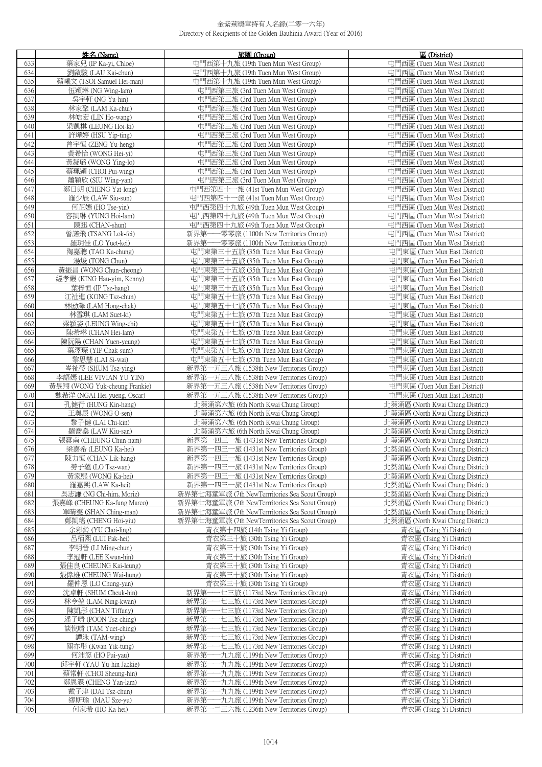|            | 姓名 (Name)                                                    | 旅團(Group)                                                                                  | 區 (District)                                                         |
|------------|--------------------------------------------------------------|--------------------------------------------------------------------------------------------|----------------------------------------------------------------------|
| 633        | 葉家兒 (IP Ka-vi, Chloe)                                        | 屯門西第十九旅 (19th Tuen Mun West Group)                                                         | 屯門西區 (Tuen Mun West District)                                        |
| 634        | 劉啟駿 (LAU Kai-chun)                                           | 屯門西第十九旅 (19th Tuen Mun West Group)                                                         | 屯門西區 (Tuen Mun West District)                                        |
| 635        | 蔡曦文 (TSOI Samuel Hei-man)                                    | 屯門西第十九旅 (19th Tuen Mun West Group)                                                         | 屯門西區 (Tuen Mun West District)                                        |
| 636        | 伍穎琳 (NG Wing-lam)                                            | 屯門西第三旅 (3rd Tuen Mun West Group)                                                           | 屯門西區 (Tuen Mun West District)                                        |
| 637        | 吳宇軒 (NG Yu-hin)                                              | 屯門西第三旅 (3rd Tuen Mun West Group)                                                           | 屯門西區 (Tuen Mun West District)                                        |
| 638        | 林家聚 (LAM Ka-chui)                                            | 屯門西第三旅 (3rd Tuen Mun West Group)                                                           | 屯門西區 (Tuen Mun West District)                                        |
| 639        | 林皓宏 (LIN Ho-wang)                                            | 屯門西第三旅 (3rd Tuen Mun West Group)                                                           | 屯門西區 (Tuen Mun West District)                                        |
| 640        | 梁凱棋 (LEUNG Hoi-ki)                                           | 屯門西第三旅 (3rd Tuen Mun West Group)                                                           | 屯門西區 (Tuen Mun West District)                                        |
| 641        | 許燁婷 (HSU Yip-ting)                                           | 屯門西第三旅 (3rd Tuen Mun West Group)                                                           | 屯門西區 (Tuen Mun West District)                                        |
| 642<br>643 | 曾宇恒 (ZENG Yu-heng)<br>黃希怡 (WONG Hei-vi)                      | 屯門西第三旅 (3rd Tuen Mun West Group)<br>屯門西第三旅 (3rd Tuen Mun West Group)                       | 屯門西區 (Tuen Mun West District)<br>屯門西區 (Tuen Mun West District)       |
| 644        | 黃凝璐 (WONG Ying-lo)                                           | 屯門西第三旅 (3rd Tuen Mun West Group)                                                           | 屯門西區 (Tuen Mun West District)                                        |
| 645        | 蔡珮穎 (CHOI Pui-wing)                                          | 屯門西第三旅 (3rd Tuen Mun West Group)                                                           | 屯門西區 (Tuen Mun West District)                                        |
| 646        | 蕭穎欣 (SIU Wing-yan)                                           | 屯門西第三旅 (3rd Tuen Mun West Group)                                                           | 屯門西區 (Tuen Mun West District)                                        |
| 647        | 鄭日朗 (CHENG Yat-long)                                         | 屯門西第四十一旅 (41st Tuen Mun West Group)                                                        | 屯門西區 (Tuen Mun West District)                                        |
| 648        | 羅少辰 (LAW Siu-sun)                                            | 屯門西第四十一旅 (41st Tuen Mun West Group)                                                        | 屯門西區 (Tuen Mun West District)                                        |
| 649        | 何芷嫣 (HO Tse-yin)                                             | 屯門西第四十九旅 (49th Tuen Mun West Group)                                                        | 屯門西區 (Tuen Mun West District)                                        |
| 650        | 容凱琳 (YUNG Hoi-lam)                                           | 屯門西第四十九旅 (49th Tuen Mun West Group)                                                        | 屯門西區 (Tuen Mun West District)                                        |
| 651        | 陳迅 (CHAN-shun)                                               | 屯門西第四十九旅 (49th Tuen Mun West Group)                                                        | 屯門西區 (Tuen Mun West District)                                        |
| 652        | 曾諾飛 (TSANG Lok-fei)                                          | 新界第一一零零旅 (1100th New Territories Group)                                                    | 屯門西區 (Tuen Mun West District)                                        |
| 653        | 羅玥佳 (LO Yuet-kei)                                            | 新界第一一零零旅 (1100th New Territories Group)                                                    | 屯門西區 (Tuen Mun West District)                                        |
| 654        | 陶嘉聰 (TAO Ka-chung)                                           | 屯門東第三十五旅 (35th Tuen Mun East Group)                                                        | 屯門東區 (Tuen Mun East District)                                        |
| 655        | 湯焌 (TONG Chun)                                               | 屯門東第三十五旅 (35th Tuen Mun East Group)                                                        | 屯門東區 (Tuen Mun East District)                                        |
| 656<br>657 | 黃振昌 (WONG Chun-cheong)<br>經孝嚴 (KING Hau-vim, Kenny)          | 屯門東第三十五旅 (35th Tuen Mun East Group)<br>屯門東第三十五旅 (35th Tuen Mun East Group)                 | 屯門東區 (Tuen Mun East District)<br>屯門東區 (Tuen Mun East District)       |
| 658        | 葉梓恒 (IP Tsz-hang)                                            | 屯門東第三十五旅 (35th Tuen Mun East Group)                                                        | 屯門東區 (Tuen Mun East District)                                        |
| 659        | 江祉進 (KONG Tsz-chun)                                          | 屯門東第五十七旅 (57th Tuen Mun East Group)                                                        | 屯門東區 (Tuen Mun East District)                                        |
| 660        | 林劻澤 (LAM Hong-chak)                                          | 屯門東第五十七旅 (57th Tuen Mun East Group)                                                        | 中門東區 (Tuen Mun East District)                                        |
| 661        | 林雪琪 (LAM Suet-ki)                                            | 屯門東第五十七旅 (57th Tuen Mun East Group)                                                        | 屯門東區 (Tuen Mun East District)                                        |
| 662        | 梁潁姿 (LEUNG Wing-chi)                                         | 屯門東第五十七旅 (57th Tuen Mun East Group)                                                        | 屯門東區 (Tuen Mun East District)                                        |
| 663        | 陳希琳 (CHAN Hei-lam)                                           | 屯門東第五十七旅 (57th Tuen Mun East Group)                                                        | 屯門東區 (Tuen Mun East District)                                        |
| 664        | 陳阮陽 (CHAN Yuen-yeung)                                        | 屯門東第五十七旅 (57th Tuen Mun East Group)                                                        | 屯門東區 (Tuen Mun East District)                                        |
| 665        | 葉澤琛 (YIP Chak-sum)                                           | 屯門東第五十七旅 (57th Tuen Mun East Group)                                                        | 屯門東區 (Tuen Mun East District)                                        |
| 666        | 黎思慧 (LAI Si-wai)                                             | 屯門東第五十七旅 (57th Tuen Mun East Group)                                                        | 屯門東區 (Tuen Mun East District)                                        |
| 667        | 岑祉瑩 (SHUM Tsz-ying)                                          | 新界第一五三八旅 (1538th New Territories Group)                                                    | 屯門東區 (Tuen Mun East District)                                        |
| 668        | 李語嫣 (LEE VIVIAN YU YIN)                                      | 新界第一五三八旅 (1538th New Territories Group)                                                    | 屯門東區 (Tuen Mun East District)                                        |
| 669<br>670 | 黃昱翔 (WONG Yuk-cheung Frankie)<br>魏希洋 (NGAI Hei-yueng, Oscar) | 新界第一五三八旅 (1538th New Territories Group)<br>新界第一五三八旅 (1538th New Territories Group)         | 屯門東區 (Tuen Mun East District)<br>屯門東區 (Tuen Mun East District)       |
| 671        | 孔健行 (HUNG Kin-hang)                                          | 北葵涌第六旅 (6th North Kwai Chung Group)                                                        | 北葵涌區 (North Kwai Chung District)                                     |
| 672        | 王奥辰 (WONG O-sen)                                             | 北葵涌第六旅 (6th North Kwai Chung Group)                                                        | 北葵涌區 (North Kwai Chung District)                                     |
| 673        | 黎子健 (LAI Chi-kin)                                            | 北葵涌第六旅 (6th North Kwai Chung Group)                                                        | 北葵涌區 (North Kwai Chung District)                                     |
| 674        | 羅喬桑 (LAW Kiu-san)                                            | 北葵涌第六旅 (6th North Kwai Chung Group)                                                        | 北葵涌區 (North Kwai Chung District)                                     |
| 675        | 張震南 (CHEUNG Chun-nam)                                        | 新界第一四三一旅 (1431st New Territories Group)                                                    | 北葵涌區 (North Kwai Chung District)                                     |
| 676        | 梁嘉希 (LEUNG Ka-hei)                                           | 新界第一四三一旅 (1431st New Territories Group)                                                    | 北葵涌區 (North Kwai Chung District)                                     |
| 677        | 陳刀怛 (CHAN Lik-hang)                                          | 新界第一四三一旅 (1431st New Territories Group)                                                    | 北癸浦區 (North Kwai Chung District)                                     |
| 678        | 勞子蘊 (LO Tsz-wan)                                             | 新界第一四三一旅 (1431st New Territories Group)<br>新界第一四三一旅 (1431st New Territories Group)         | 北葵涌區 (North Kwai Chung District)                                     |
| 679<br>680 | 黃家熙 (WONG Ka-hei)<br>羅嘉熙 (LAW Ka-hei)                        | 新界第一四三一旅 (1431st New Territories Group)                                                    | 北葵涌區 (North Kwai Chung District)<br>北葵涌區 (North Kwai Chung District) |
| 681        | 吳志謙 (NG Chi-him, Moriz)                                      | 新界第七海童軍旅 (7th NewTerrritories Sea Scout Group)                                             | 北葵涌區 (North Kwai Chung District)                                     |
| 682        | 張嘉峰 (CHEUNG Ka-fung Marco)                                   | 新界第七海童軍旅 (7th NewTerrritories Sea Scout Group)                                             | 北葵涌區 (North Kwai Chung District)                                     |
| 683        | 單晴雯 (SHAN Ching-man)                                         | 新界第七海童軍旅 (7th NewTerrritories Sea Scout Group)                                             | 北葵涌區 (North Kwai Chung District)                                     |
| 684        | 鄭凱瑤 (CHENG Hoi-yiu)                                          | 新界第七海童軍旅 (7th NewTerrritories Sea Scout Group)                                             | 北葵涌區 (North Kwai Chung District)                                     |
| 685        | 余彩鈴 (YU Choi-ling)                                           | 青衣第十四旅 (14th Tsing Yi Group)                                                               | 青衣區 (Tsing Yi District)                                              |
| 686        | 呂栢熙 (LUI Pak-hei)                                            | 青衣第三十旅 (30th Tsing Yi Group)                                                               | 青衣區 (Tsing Yi District)                                              |
| 687        | 李明晉 (LI Ming-chun)                                           | 青衣第三十旅 (30th Tsing Yi Group)                                                               | 青衣區 (Tsing Yi District)                                              |
| 688        | 李冠軒 (LEE Kwun-hin)                                           | 青衣第三十旅 (30th Tsing Yi Group)<br>青衣第三十旅 (30th Tsing Yi Group)                               | 青衣區 (Tsing Yi District)                                              |
| 689<br>690 | 張佳良 (CHEUNG Kai-leung)<br>張偉雄 (CHEUNG Wai-hung)              | 青衣第三十旅 (30th Tsing Yi Group)                                                               | 青衣區 (Tsing Yi District)<br>青衣區 (Tsing Yi District)                   |
| 691        | 羅仲恩 (LO Chung-yan)                                           | 青衣第三十旅 (30th Tsing Yi Group)                                                               | 青衣區 (Tsing Yi District)                                              |
| 692        | 沈卓軒 (SHUM Cheuk-hin)                                         | 新界第一一七三旅 (1173rd New Territories Group)                                                    | 青衣區 (Tsing Yi District)                                              |
| 693        | 林令堃 (LAM Ning-kwan)                                          | 新界第一一七三旅 (1173rd New Territories Group)                                                    | 青衣區 (Tsing Yi District)                                              |
| 694        | 陳凱彤 (CHAN Tiffany)                                           | 新界第一一七三旅 (1173rd New Territories Group)                                                    | 青衣區 (Tsing Yi District)                                              |
| 695        | 潘子晴 (POON Tsz-ching)                                         | 新界第-<br>---七三旅 (1173rd New Territories Group)                                              | 青衣區 (Tsing Yi District)                                              |
| 696        | 談悅晴 (TAM Yuet-ching)                                         | 一七三旅 (1173rd New Territories Group)<br>新界第·                                                | 青衣區 (Tsing Yi District)                                              |
| 697        | 譚泳 (TAM-wing)                                                | 新界第<br>一七三旅 (1173rd New Territories Group)                                                 | 青衣區 (Tsing Yi District)                                              |
| 698<br>699 | 關亦彤 (Kwan Yik-tung)<br>何沛悠 (HO Pui-yau)                      | 新界第·<br>·七三旅 (1173rd New Territories Group)<br>新界第-<br>一九九旅 (1199th New Territories Group) | 青衣區 (Tsing Yi District)<br>青衣區 (Tsing Yi District)                   |
| 700        | 邱宇軒 (YAU Yu-hin Jackie)                                      | 新界第-<br>一九九旅 (1199th New Territories Group)                                                | 青衣區 (Tsing Yi District)                                              |
| 701        | 蔡常軒 (CHOI Sheung-hin)                                        | 新界第-<br>一九九旅 (1199th New Territories Group)                                                | 青衣區 (Tsing Yi District)                                              |
| 702        | 鄭恩霖 (CHENG Yan-lam)                                          | 一九九旅 (1199th New Territories Group)<br>新界第一                                                | 青衣區 (Tsing Yi District)                                              |
| 703        | 戴子津 (DAI Tsz-chun)                                           | 新界第一一九九旅 (1199th New Territories Group)                                                    | 青衣區 (Tsing Yi District)                                              |
| 704        | 繆斯瑜 (MAU Sze-yu)                                             | 新界第一一九九旅 (1199th New Territories Group)                                                    | 青衣區 (Tsing Yi District)                                              |
| 705        | 何家希 (HO Ka-hei)                                              | 新界第一二三六旅 (1236th New Territories Group)                                                    | 青衣區 (Tsing Yi District)                                              |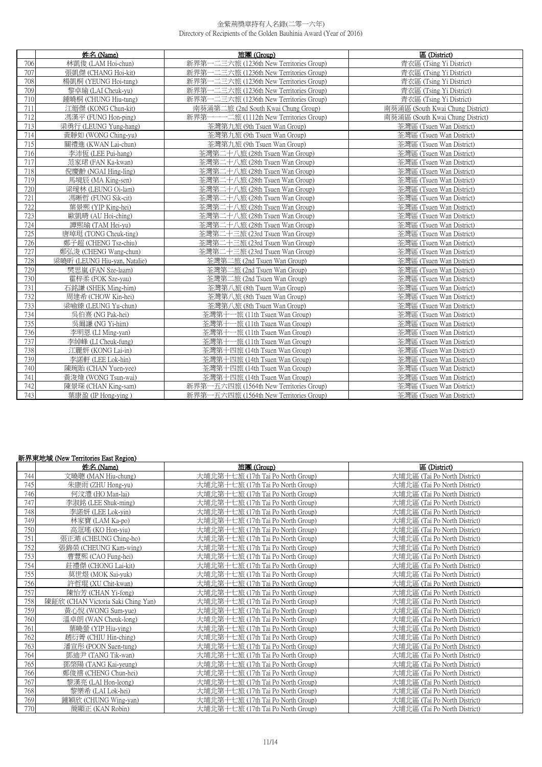| 姓名 (Name)<br>旅團 (Group) |                              | 區 (District)                            |                                  |
|-------------------------|------------------------------|-----------------------------------------|----------------------------------|
| 706                     | 林凱俊 (LAM Hoi-chun)           | 新界第一二三六旅 (1236th New Territories Group) | 青衣區 (Tsing Yi District)          |
| 707                     | 張凱傑 (CHANG Hoi-kit)          | 新界第一二三六旅 (1236th New Territories Group) | 青衣區 (Tsing Yi District)          |
| 708                     | 楊凱桐 (YEUNG Hoi-tung)         | 新界第一二三六旅 (1236th New Territories Group) | 青衣區 (Tsing Yi District)          |
| 709                     | 黎卓瑜 (LAI Cheuk-yu)           | 新界第一二三六旅 (1236th New Territories Group) | 青衣區 (Tsing Yi District)          |
| 710                     | 鍾曉桐 (CHUNG Hiu-tung)         | 新界第一二三六旅 (1236th New Territories Group) | 青衣區 (Tsing Yi District)          |
| 711                     | 江縉傑 (KONG Chun-kit)          | 南葵涌第二旅 (2nd South Kwai Chung Group)     | 南葵涌區 (South Kwai Chung District) |
| 712                     | 馮漢平 (FUNG Hon-ping)          | 新界第一一一二旅 (1112th New Territories Group) | 南葵涌區 (South Kwai Chung District) |
| 713                     | 梁勇行 (LEUNG Yung-hang)        | 荃灣第九旅 (9th Tsuen Wan Group)             | 荃灣區 (Tsuen Wan District)         |
| 714                     | 黃靜如 (WONG Ching-yu)          | 荃灣第九旅 (9th Tsuen Wan Group)             | 荃灣區 (Tsuen Wan District)         |
| 715                     | 關禮進 (KWAN Lai-chun)          | 荃灣第九旅 (9th Tsuen Wan Group)             | 荃灣區 (Tsuen Wan District)         |
| 716                     | 李沛恆 (LEE Pui-hang)           | 荃灣第二十八旅 (28th Tsuen Wan Group)          | 荃灣區 (Tsuen Wan District)         |
| 717                     | 范家珺 (FAN Ka-kwan)            | 荃灣第二十八旅 (28th Tsuen Wan Group)          | 荃灣區 (Tsuen Wan District)         |
| 718                     | 倪慶齡 (NGAI Hing-ling)         | 荃灣第二十八旅 (28th Tsuen Wan Group)          | 荃灣區 (Tsuen Wan District)         |
| 719                     | 馬境辰 (MA King-sen)            | 荃灣第二十八旅 (28th Tsuen Wan Group)          | 荃灣區 (Tsuen Wan District)         |
| 720                     | 梁瑷林 (LEUNG Oi-lam)           | 荃灣第二十八旅 (28th Tsuen Wan Group)          | 荃灣區 (Tsuen Wan District)         |
| 721                     | 馮晰哲 (FUNG Sik-cit)           | 荃灣第二十八旅 (28th Tsuen Wan Group)          | 荃灣區 (Tsuen Wan District)         |
| 722                     | 葉景熙 (YIP King-hei)           | 荃灣第二十八旅 (28th Tsuen Wan Group)          | 荃灣區 (Tsuen Wan District)         |
| 723                     | 歐凱晴 (AU Hoi-ching)           | 荃灣第二十八旅 (28th Tsuen Wan Group)          | 荃灣區 (Tsuen Wan District)         |
| 724                     | 譚熙瑜 (TAM Hei-yu)             | 荃灣第二十八旅 (28th Tsuen Wan Group)          | 荃灣區 (Tsuen Wan District)         |
| 725                     | 唐琸珽 (TONG Cheuk-ting)        | 荃灣第二十三旅 (23rd Tsuen Wan Group)          | 荃灣區 (Tsuen Wan District)         |
| 726                     | 鄭子超 (CHENG Tsz-chiu)         | 荃灣第二十三旅 (23rd Tsuen Wan Group)          | 荃灣區 (Tsuen Wan District)         |
| 727                     | 鄭弘浚 (CHENG Wang-chun)        | 荃灣第二十三旅 (23rd Tsuen Wan Group)          | 荃灣區 (Tsuen Wan District)         |
| 728                     | 梁曉昕 (LEUNG Hiu-yan, Natalie) | 荃灣第二旅 (2nd Tsuen Wan Group)             | 荃灣區 (Tsuen Wan District)         |
| 729                     | 樊思嵐 (FAN Sze-laam)           | 荃灣第二旅 (2nd Tsuen Wan Group)             | 荃灣區 (Tsuen Wan District)         |
| 730                     | 霍梓柔 (FOK Sze-yau)            | 荃灣第二旅 (2nd Tsuen Wan Group)             | 荃灣區 (Tsuen Wan District)         |
| 731                     | 石銘謙 (SHEK Ming-him)          | 荃灣第八旅 (8th Tsuen Wan Group)             | 荃灣區 (Tsuen Wan District)         |
| 732                     | 周建希 (CHOW Kin-hei)           | 荃灣第八旅 (8th Tsuen Wan Group)             | 荃灣區 (Tsuen Wan District)         |
| 733                     | 梁喻臻 (LEUNG Yu-chun)          | 荃灣第八旅 (8th Tsuen Wan Group)             | 荃灣區 (Tsuen Wan District)         |
| 734                     | 吳伯熹 (NG Pak-hei)             | 荃灣第十一旅 (11th Tsuen Wan Group)           | 荃灣區 (Tsuen Wan District)         |
| 735                     | 吳爾謙 (NG Yi-him)              | 荃灣第十一旅 (11th Tsuen Wan Group)           | 荃灣區 (Tsuen Wan District)         |
| 736                     | 李明恩 (LI Ming-yan)            | 荃灣第十一旅 (11th Tsuen Wan Group)           | 荃灣區 (Tsuen Wan District)         |
| 737                     | 李綽峰 (LI Cheuk-fung)          | 荃灣第十一旅 (11th Tsuen Wan Group)           | 荃灣區 (Tsuen Wan District)         |
| 738                     | 江麗妍 (KONG Lai-in)            | 荃灣第十四旅 (14th Tsuen Wan Group)           | 荃灣區 (Tsuen Wan District)         |
| 739                     | 李諾軒 (LEE Lok-hin)            | 荃灣第十四旅 (14th Tsuen Wan Group)           | 荃灣區 (Tsuen Wan District)         |
| 740                     | 陳琬貽 (CHAN Yuen-yee)          | 荃灣第十四旅 (14th Tsuen Wan Group)           | 荃灣區 (Tsuen Wan District)         |
| 741                     | 黃浚煒 (WONG Tsun-wai)          | 荃灣第十四旅 (14th Tsuen Wan Group)           | 荃灣區 (Tsuen Wan District)         |
| 742                     | 陳景琛 (CHAN King-sam)          | 新界第一五六四旅 (1564th New Territories Group) | 荃灣區 (Tsuen Wan District)         |
| 743                     | 葉康盈 (IP Hong-ying)           | 新界第一五六四旅 (1564th New Territories Group) | 荃灣區 (Tsuen Wan District)         |

### 新界東地域 (New Territories East Region)

|     | 姓名 (Name)                          | 旅團 (Group)                        | 區 (District)                 |
|-----|------------------------------------|-----------------------------------|------------------------------|
| 744 | 文曉聰 (MAN Hiu-chung)                | 大埔北第十七旅 (17th Tai Po North Group) | 大埔北區 (Tai Po North District) |
| 745 | 朱康雨 (ZHU Hong-yu)                  | 大埔北第十七旅 (17th Tai Po North Group) | 大埔北區 (Tai Po North District) |
| 746 | 何汶澧 (HO Man-lai)                   | 大埔北第十七旅 (17th Tai Po North Group) | 大埔北區 (Tai Po North District) |
| 747 | 李淑銘 (LEE Shuk-ming)                | 大埔北第十七旅 (17th Tai Po North Group) | 大埔北區 (Tai Po North District) |
| 748 | 李諾妍 (LEE Lok-vin)                  | 大埔北第十七旅 (17th Tai Po North Group) | 大埔北區 (Tai Po North District) |
| 749 | 林家寶 (LAM Ka-po)                    | 大埔北第十七旅 (17th Tai Po North Group) | 大埔北區 (Tai Po North District) |
| 750 | 高洭瑤 (KO Hon-yiu)                   | 大埔北第十七旅 (17th Tai Po North Group) | 大埔北區 (Tai Po North District) |
| 751 | 張正澔 (CHEUNG Ching-ho)              | 大埔北第十七旅 (17th Tai Po North Group) | 大埔北區 (Tai Po North District) |
| 752 | 張錦榮 (CHEUNG Kam-wing)              | 大埔北第十七旅 (17th Tai Po North Group) | 大埔北區 (Tai Po North District) |
| 753 | 曹豐熙 (CAO Fung-hei)                 | 大埔北第十七旅 (17th Tai Po North Group) | 大埔北區 (Tai Po North District) |
| 754 | 莊禮傑 (CHONG Lai-kit)                | 大埔北第十七旅 (17th Tai Po North Group) | 大埔北區 (Tai Po North District) |
| 755 | 莫世煜 (MOK Sai-yuk)                  | 大埔北第十七旅 (17th Tai Po North Group) | 大埔北區 (Tai Po North District) |
| 756 | 許哲琨 (XU Chit-kwan)                 | 大埔北第十七旅 (17th Tai Po North Group) | 大埔北區 (Tai Po North District) |
| 757 | 陳怡芳 (CHAN Yi-fong)                 | 大埔北第十七旅 (17th Tai Po North Group) | 大埔北區 (Tai Po North District) |
| 758 | 陳鉦欣 (CHAN Victoria Saki Ching Yan) | 大埔北第十七旅 (17th Tai Po North Group) | 大埔北區 (Tai Po North District) |
| 759 | 黃心悅 (WONG Sum-yue)                 | 大埔北第十七旅 (17th Tai Po North Group) | 大埔北區 (Tai Po North District) |
| 760 | 溫卓朗 (WAN Cheuk-long)               | 大埔北第十七旅 (17th Tai Po North Group) | 大埔北區 (Tai Po North District) |
| 761 | 葉曉螢 (YIP Hiu-ying)                 | 大埔北第十七旅 (17th Tai Po North Group) | 大埔北區 (Tai Po North District) |
| 762 | 趙衍菁 (CHIU Hin-ching)               | 大埔北第十七旅 (17th Tai Po North Group) | 大埔北區 (Tai Po North District) |
| 763 | 潘宣彤 (POON Suen-tung)               | 大埔北第十七旅 (17th Tai Po North Group) | 大埔北區 (Tai Po North District) |
| 764 | 鄧迪尹 (TANG Tik-wan)                 | 大埔北第十七旅 (17th Tai Po North Group) | 大埔北區 (Tai Po North District) |
| 765 | 鄧棨陽 (TANG Kai-yeung)               | 大埔北第十七旅 (17th Tai Po North Group) | 大埔北區 (Tai Po North District) |
| 766 | 鄭俊禧 (CHENG Chun-hei)               | 大埔北第十七旅 (17th Tai Po North Group) | 大埔北區 (Tai Po North District) |
| 767 | 黎漢亮 (LAI Hon-leong)                | 大埔北第十七旅 (17th Tai Po North Group) | 大埔北區 (Tai Po North District) |
| 768 | 黎樂希 (LAI Lok-hei)                  | 大埔北第十七旅 (17th Tai Po North Group) | 大埔北區 (Tai Po North District) |
| 769 | 鍾穎欣 (CHUNG Wing-yan)               | 大埔北第十七旅 (17th Tai Po North Group) | 大埔北區 (Tai Po North District) |
| 770 | 簡顯正 (KAN Robin)                    | 大埔北第十七旅 (17th Tai Po North Group) | 大埔北區 (Tai Po North District) |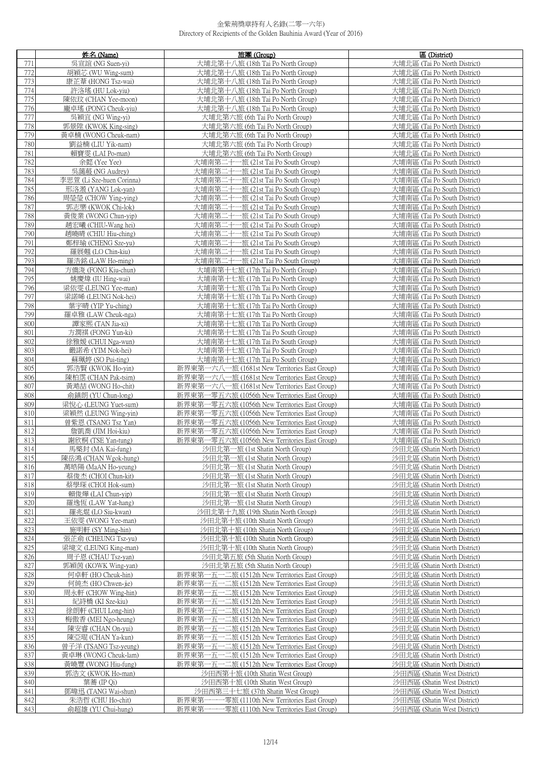|            | 姓名 (Name)                                   | 旅團 (Group)                                                                                     | 區 (District)                                                 |
|------------|---------------------------------------------|------------------------------------------------------------------------------------------------|--------------------------------------------------------------|
| 771        | 吳宣誼 (NG Suen-vi)                            | 大埔北第十八旅 (18th Tai Po North Group)                                                              | 大埔北區 (Tai Po North District)                                 |
| 772        | 胡穎芯 (WU Wing-sum)                           | 大埔北第十八旅 (18th Tai Po North Group)                                                              | 大埔北區 (Tai Po North District)                                 |
| 773        | 康芷葦 (HONG Tsz-wai)                          | 大埔北第十八旅 (18th Tai Po North Group)                                                              | 大埔北區 (Tai Po North District)                                 |
| 774        | 許洛瑤 (HU Lok-yiu)                            | 大埔北第十八旅 (18th Tai Po North Group)                                                              | 大埔北區 (Tai Po North District)                                 |
| 775        | 陳依玟 (CHAN Yee-moon)                         | 大埔北第十八旅 (18th Tai Po North Group)                                                              | 大埔北區 (Tai Po North District)                                 |
| 776        | 龐卓瑤 (PONG Cheuk-yiu)                        | 大埔北第十八旅 (18th Tai Po North Group)                                                              | 大埔北區 (Tai Po North District)                                 |
| 777        | 吳穎宜 (NG Wing-yi)<br>郭景陞 (KWOK King-sing)    | 大埔北第六旅 (6th Tai Po North Group)                                                                | 大埔北區 (Tai Po North District)                                 |
| 778<br>779 | 黃卓楠 (WONG Cheuk-nam)                        | 大埔北第六旅 (6th Tai Po North Group)<br>大埔北第六旅 (6th Tai Po North Group)                             | 大埔北區 (Tai Po North District)<br>大埔北區 (Tai Po North District) |
| 780        | 劉益楠 (LIU Yik-nam)                           | 大埔北第六旅 (6th Tai Po North Group)                                                                | 大埔北區 (Tai Po North District)                                 |
| 781        | 賴寶雯 (LAI Po-man)                            | 大埔北第六旅 (6th Tai Po North Group)                                                                | 大埔北區 (Tai Po North District)                                 |
| 782        | 余懿 (Yee Yee)                                | 大埔南第二十一旅 (21st Tai Po South Group)                                                             | 大埔南區 (Tai Po South District)                                 |
| 783        | 吳藹蒑 (NG Audrey)                             | 大埔南第二十一旅 (21st Tai Po South Group)                                                             | 大埔南區 (Tai Po South District)                                 |
| 784        | 李思萱 (Li Sze-huen Corinna)                   | 大埔南第二十一旅 (21st Tai Po South Group)                                                             | 大埔南區 (Tai Po South District)                                 |
| 785        | 邢洛溵 (YANG Lok-yan)                          | 大埔南第二十一旅 (21st Tai Po South Group)                                                             | 大埔南區 (Tai Po South District)                                 |
| 786        | 周瑩瑩 (CHOW Ying-ying)                        | 大埔南第二十一旅 (21st Tai Po South Group)                                                             | 大埔南區 (Tai Po South District)                                 |
| 787        | 郭志樂 (KWOK Chi-lok)                          | 大埔南第二十一旅 (21st Tai Po South Group)                                                             | 大埔南區 (Tai Po South District)                                 |
| 788        | 黃俊業 (WONG Chun-yip)                         | 大埔南第二十一旅 (21st Tai Po South Group)                                                             | 大埔南區 (Tai Po South District)                                 |
| 789        | 趙宏曦 (CHIU-Wang hei)                         | 大埔南第二十一旅 (21st Tai Po South Group)                                                             | 大埔南區 (Tai Po South District)                                 |
| 790<br>791 | 趙曉晴 (CHIU Hiu-ching)<br>鄭梓瑜 (CHENG Sze-yu)  | 大埔南第二十一旅 (21st Tai Po South Group)                                                             | 大埔南區 (Tai Po South District)                                 |
| 792        | 羅展翹 (LO Chin-kiu)                           | 大埔南第二十一旅 (21st Tai Po South Group)<br>大埔南第二十一旅 (21st Tai Po South Group)                       | 大埔南區 (Tai Po South District)<br>大埔南區 (Tai Po South District) |
| 793        | 羅浩銘 (LAW Ho-ming)                           | 大埔南第二十一旅 (21st Tai Po South Group)                                                             | 大埔南區 (Tai Po South District)                                 |
| 794        | 方僑浚 (FONG Kiu-chun)                         | 大埔南第十七旅 (17th Tai Po North Group)                                                              | 大埔南區 (Tai Po South District)                                 |
| 795        | 姚慶煒 (IU Hing-wai)                           | 大埔南第十七旅 (17th Tai Po North Group)                                                              | 大埔南區 (Tai Po South District)                                 |
| 796        | 梁依雯 (LEUNG Yee-man)                         | 大埔南第十七旅 (17th Tai Po North Group)                                                              | 大埔南區 (Tai Po South District)                                 |
| 797        | 梁諾晞 (LEUNG Nok-hei)                         | 大埔南第十七旅 (17th Tai Po North Group)                                                              | 大埔南區 (Tai Po South District)                                 |
| 798        | 葉字晴 (YIP Yu-ching)                          | 大埔南第十七旅 (17th Tai Po North Group)                                                              | 大埔南區 (Tai Po South District)                                 |
| 799        | 羅卓雅 (LAW Cheuk-nga)                         | 大埔南第十七旅 (17th Tai Po North Group)                                                              | 大埔南區 (Tai Po South District)                                 |
| 800        | 譚家熙 (TAN Jia-xi)                            | 大埔南第十七旅 (17th Tai Po North Group)                                                              | 大埔南區 (Tai Po South District)                                 |
| 801<br>802 | 方潤祺 (FONG Yun-ki)<br>徐雅媛 (CHUI Nga-wun)     | 大埔南第十七旅 (17th Tai Po South Group)<br>大埔南第十七旅 (17th Tai Po South Group)                         | 大埔南區 (Tai Po South District)<br>大埔南區 (Tai Po South District) |
| 803        | 嚴諾希 (YIM Nok-hei)                           | 大埔南第十七旅 (17th Tai Po South Group)                                                              | 大埔南區 (Tai Po South District)                                 |
| 804        | 蘇珮婷 (SO Pui-ting)                           | 大埔南第十七旅 (17th Tai Po South Group)                                                              | 大埔南區 (Tai Po South District)                                 |
| 805        | 郭浩賢 (KWOK Ho-yin)                           | 新界東第一六八一旅 (1681st New Territories East Group)                                                  | 大埔南區 (Tai Po South District)                                 |
| 806        | 陳柏霑 (CHAN Pak-tsim)                         | 新界東第一六八一旅 (1681st New Territories East Group)                                                  | 大埔南區 (Tai Po South District)                                 |
| 807        | 黃澔喆 (WONG Ho-chit)                          | 新界東第一六八一旅 (1681st New Territories East Group)                                                  | 大埔南區 (Tai Po South District)                                 |
| 808        | 俞鎮朗 (YU Chun-long)                          | 新界東第一零五六旅 (1056th New Territories East Group)                                                  | 大埔南區 (Tai Po South District)                                 |
| 809        | 梁悅心 (LEUNG Yuet-sum)                        | 新界東第一零五六旅 (1056th New Territories East Group)                                                  | 大埔南區 (Tai Po South District)<br>大埔南區 (Tai Po South District) |
| 810<br>811 | 梁穎然 (LEUNG Wing-yin)<br>曾紫恩 (TSANG Tsz Yan) | 新界東第一零五六旅 (1056th New Territories East Group)<br>新界東第一零五六旅 (1056th New Territories East Group) | 大埔南區 (Tai Po South District)                                 |
| 812        | 詹凱喬 (JIM Hoi-kiu)                           | 新界東第一零五六旅 (1056th New Territories East Group)                                                  | 大埔南區 (Tai Po South District)                                 |
| 813        | 謝欣桐 (TSE Yan-tung)                          | 新界東第一零五六旅 (1056th New Territories East Group)                                                  | 大埔南區 (Tai Po South District)                                 |
| 814        | 馬棨封 (MA Kai-fung)                           | 沙田北第一旅 (1st Shatin North Group)                                                                | 沙田北區 (Shatin North District)                                 |
| 815        | 陳岳鴻 (CHAN Wgok-hung)                        | 沙田北第一旅 (1st Shatin North Group)                                                                | 沙田北區 (Shatin North District)                                 |
| 816        | 萬皓陽 (MaAN Ho-yeung)                         | 沙田北第一旅 (1st Shatin North Group)                                                                | 沙田北區 (Shatin North District)                                 |
| 817        | 蔡俊杰 (CHOI Chun-kit)<br>蔡學琛 (CHOI Hok-sum)   | 沙田北第一旅 (1st Shatin North Group)<br>沙田北第一旅 (1st Shatin North Group)                             | 沙田北區 (Shatin North District)<br>沙田北區 (Shatin North District) |
| 818<br>819 | 賴俊燁 (LAI Chun-yip)                          | 沙田北第一旅 (1st Shatin North Group)                                                                | 沙田北區 (Shatin North District)                                 |
| 820        | 羅逸恆 (LAW Yat-hang)                          | 沙田北第一旅 (1st Shatin North Group)                                                                | 沙田北區 (Shatin North District)                                 |
| 821        | 羅兆焜 (LO Siu-kwan)                           | 沙田北第十九旅 (19th Shatin North Group)                                                              | 沙田北區 (Shatin North District)                                 |
| 822        | 王依雯 (WONG Yee-man)                          | 沙田北第十旅 (10th Shatin North Group)                                                               | 沙田北區 (Shatin North District)                                 |
| 823        | 施明軒 (SY Ming-hin)                           | 沙田北第十旅 (10th Shatin North Group)                                                               | 沙田北區 (Shatin North District)                                 |
| 824        | 張芷俞 (CHEUNG Tsz-yu)                         | 沙田北第十旅 (10th Shatin North Group)                                                               | 沙田北區 (Shatin North District)                                 |
| 825        | 梁境文 (LEUNG King-man)                        | 沙田北第十旅 (10th Shatin North Group)                                                               | 沙田北區 (Shatin North District)                                 |
| 826<br>827 | 周子恩 (CHAU Tsz-yan)<br>郭穎茵 (KOWK Wing-yan)   | 沙田北第五旅 (5th Shatin North Group)<br>沙田北第五旅 (5th Shatin North Group)                             | 沙田北區 (Shatin North District)<br>沙田北區 (Shatin North District) |
| 828        | 何卓軒 (HO Cheuk-hin)                          | 新界東第一五一二旅 (1512th New Territories East Group)                                                  | 沙田北區 (Shatin North District)                                 |
| 829        | 何純杰 (HO Chwen-jie)                          | 新界東第一五一二旅 (1512th New Territories East Group)                                                  | 沙田北區 (Shatin North District)                                 |
| 830        | 周永軒 (CHOW Wing-hin)                         | 新界東第一五一二旅 (1512th New Territories East Group)                                                  | 沙田北區 (Shatin North District)                                 |
| 831        | 紀詩橋 (KI Sze-kiu)                            | 新界東第一五一二旅 (1512th New Territories East Group)                                                  | 沙田北區 (Shatin North District)                                 |
| 832        | 徐朗軒 (CHUI Long-hin)                         | 新界東第一五一二旅 (1512th New Territories East Group)                                                  | 沙田北區 (Shatin North District)                                 |
| 833        | 梅傲香 (MEI Ngo-heung)                         | 新界東第一五一二旅 (1512th New Territories East Group)                                                  | 沙田北區 (Shatin North District)                                 |
| 834<br>835 | 陳安睿 (CHAN On-yui)                           | 新界東第一五一二旅 (1512th New Territories East Group)                                                  | 沙田北區 (Shatin North District)                                 |
| 836        | 陳亞琨 (CHAN Ya-kun)<br>曾子洋 (TSANG Tsz-yeung)  | 新界東第一五一二旅 (1512th New Territories East Group)<br>新界東第一五一二旅 (1512th New Territories East Group) | 沙田北區 (Shatin North District)<br>沙田北區 (Shatin North District) |
| 837        | 黃卓琳 (WONG Cheuk-lam)                        | 新界東第一五一二旅 (1512th New Territories East Group)                                                  | 沙田北區 (Shatin North District)                                 |
| 838        | 黃曉豐 (WONG Hiu-fung)                         | 新界東第一五一二旅 (1512th New Territories East Group)                                                  | 沙田北區 (Shatin North District)                                 |
| 839        | 郭浩文 (KWOK Ho-man)                           | 沙田西第十旅 (10th Shatin West Group)                                                                | 沙田西區 (Shatin West District)                                  |
| 840        | 葉蕎 (IP Qi)                                  | 沙田西第十旅 (10th Shatin West Group)                                                                | 沙田西區 (Shatin West District)                                  |
| 841        | 鄧暐迅 (TANG Wai-shun)                         | 沙田西第三十七旅 (37th Shatin West Group)                                                              | 沙田西區 (Shatin West District)                                  |
| 842        | 朱浩哲 (CHU Ho-chit)                           | -零旅 (1110th New Territories East Group)<br>新界東第一一-                                             | 沙田西區 (Shatin West District)                                  |
| 843        | 俞超雄 (YU Chui-hung)                          | 新界東第一一-<br>-零旅 (1110th New Territories East Group)                                             | 沙田西區 (Shatin West District)                                  |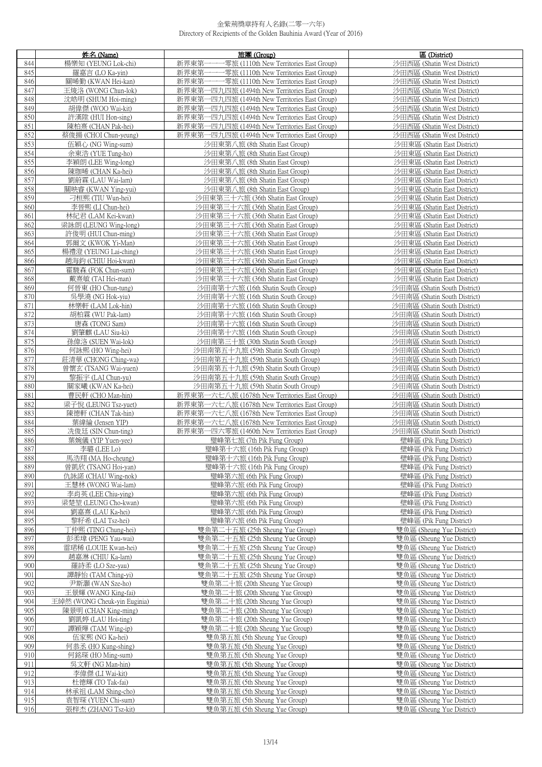|            | 姓名 (Name)                                  | 旅團 (Group)                                                                                     | 區 (District)                                                 |
|------------|--------------------------------------------|------------------------------------------------------------------------------------------------|--------------------------------------------------------------|
| 844        | 楊樂知 (YEUNG Lok-chi)                        | 新界東第<br>-零旅 (1110th New Territories East Group)                                                | 沙田西區 (Shatin West District)                                  |
| 845        | 羅嘉言 (LO Ka-vin)                            | -----零旅 (1110th New Territories East Group)<br>新界東第-                                           | 沙田西區 (Shatin West District)                                  |
| 846        | 關晞勤 (KWAN Hei-kan)                         | 新界東第一一一零旅 (1110th New Territories East Group)                                                  | 沙田西區 (Shatin West District)                                  |
| 847        | 王焌洛 (WONG Chun-lok)                        | 新界東第一四九四旅 (1494th New Territories East Group)                                                  | 沙田西區 (Shatin West District)                                  |
| 848<br>849 | 沈皓明 (SHUM Hoi-ming)<br>胡偉傑 (WOO Wai-kit)   | 新界東第一四九四旅 (1494th New Territories East Group)<br>新界東第一四九四旅 (1494th New Territories East Group) | 沙田西區 (Shatin West District)<br>沙田西區 (Shatin West District)   |
| 850        | 許漢陞 (HUI Hon-sing)                         | 新界東第一四九四旅 (1494th New Territories East Group)                                                  | 沙田西區 (Shatin West District)                                  |
| 851        | 陳柏熹 (CHAN Pak-hei)                         | 新界東第一四九四旅 (1494th New Territories East Group)                                                  | 沙田西區 (Shatin West District)                                  |
| 852        | 蔡俊揚 (CHOI Chun-yeung)                      | 新界東第一四九四旅 (1494th New Territories East Group)                                                  | 沙田西區 (Shatin West District)                                  |
| 853        | 伍穎心 (NG Wing-sum)                          | 沙田東第八旅 (8th Shatin East Group)                                                                 | 沙田東區 (Shatin East District)                                  |
| 854        | 余東浩 (YUE Tung-ho)                          | 沙田東第八旅 (8th Shatin East Group)                                                                 | 沙田東區 (Shatin East District)                                  |
| 855        | 李穎朗 (LEE Wing-long)                        | 沙田東第八旅 (8th Shatin East Group)                                                                 | 沙田東區 (Shatin East District)                                  |
| 856<br>857 | 陳珈晞 (CHAN Ka-hei)<br>劉蔚霖 (LAU Wai-lam)     | 沙田東第八旅 (8th Shatin East Group)<br>沙田東第八旅 (8th Shatin East Group)                               | 沙田東區 (Shatin East District)<br>沙田東區 (Shatin East District)   |
| 858        | 關映睿 (KWAN Ying-yui)                        | 沙田東第八旅 (8th Shatin East Group)                                                                 | 沙田東區 (Shatin East District)                                  |
| 859        | 刁桓熙 (TIU Wun-hei)                          | 沙田東第三十六旅 (36th Shatin East Group)                                                              | 沙田東區 (Shatin East District)                                  |
| 860        | 李晉熙 (LI Chun-hei)                          | 沙田東第三十六旅 (36th Shatin East Group)                                                              | 沙田東區 (Shatin East District)                                  |
| 861        | 林紀君 (LAM Kei-kwan)                         | 沙田東第三十六旅 (36th Shatin East Group)                                                              | 沙田東區 (Shatin East District)                                  |
| 862        | 梁詠朗 (LEUNG Wing-long)                      | 沙田東第三十六旅 (36th Shatin East Group)                                                              | 沙田東區 (Shatin East District)                                  |
| 863        | 許俊明 (HUI Chun-ming)                        | 沙田東第三十六旅 (36th Shatin East Group)                                                              | 沙田東區 (Shatin East District)                                  |
| 864<br>865 | 郭爾文 (KWOK Yi-Man)<br>楊禮澄 (YEUNG Lai-ching) | 沙田東第三十六旅 (36th Shatin East Group)<br>沙田東第三十六旅 (36th Shatin East Group)                         | 沙田東區 (Shatin East District)<br>沙田東區 (Shatin East District)   |
| 866        | 趙海鈞 (CHIU Hoi-kwan)                        | 沙田東第三十六旅 (36th Shatin East Group)                                                              | 沙田東區 (Shatin East District)                                  |
| 867        | 霍駿森 (FOK Chun-sum)                         | 沙田東第三十六旅 (36th Shatin East Group)                                                              | 沙田東區 (Shatin East District)                                  |
| 868        | 戴熹敏 (TAI Hei-man)                          | 沙田東第三十六旅 (36th Shatin East Group)                                                              | 沙田東區 (Shatin East District)                                  |
| 869        | 何晉東 (HO Chun-tung)                         | 沙田南第十六旅 (16th Shatin South Group)                                                              | 沙田南區 (Shatin South District)                                 |
| 870        | 吳學澆 (NG Hok-yiu)                           | 沙田南第十六旅 (16th Shatin South Group)                                                              | 沙田南區 (Shatin South District)                                 |
| 871        | 林樂軒 (LAM Lok-hin)                          | 沙田南第十六旅 (16th Shatin South Group)                                                              | 沙田南區 (Shatin South District)                                 |
| 872        | 胡柏霖 (WU Pak-lam)                           | 沙田南第十六旅 (16th Shatin South Group)                                                              | 沙田南區 (Shatin South District)                                 |
| 873<br>874 | 唐森 (TONG Sam)<br>劉肇麒 (LAU Siu-ki)          | 沙田南第十六旅 (16th Shatin South Group)<br>沙田南第十六旅 (16th Shatin South Group)                         | 沙田南區 (Shatin South District)<br>沙田南區 (Shatin South District) |
| 875        | 孫偉洛 (SUEN Wai-lok)                         | 沙田南第三十旅 (30th Shatin South Group)                                                              | 沙田南區 (Shatin South District)                                 |
| 876        | 何詠熙 (HO Wing-hei)                          | 沙田南第五十九旅 (59th Shatin South Group)                                                             | 沙田南區 (Shatin South District)                                 |
| 877        | 莊清華 (CHONG Ching-wa)                       | 沙田南第五十九旅 (59th Shatin South Group)                                                             | 沙田南區 (Shatin South District)                                 |
| 878        | 曾懷玄 (TSANG Wai-yuen)                       | 沙田南第五十九旅 (59th Shatin South Group)                                                             | 沙田南區 (Shatin South District)                                 |
| 879        | 黎振宇 (LAI Chun-yu)                          | 沙田南第五十九旅 (59th Shatin South Group)                                                             | 沙田南區 (Shatin South District)                                 |
| 880<br>881 | 關家曦 (KWAN Ka-hei)<br>曹民軒 (CHO Man-hin)     | 沙田南第五十九旅 (59th Shatin South Group)<br>新界東第一六七八旅 (1678th New Territories East Group)            | 沙田南區 (Shatin South District)<br>沙田南區 (Shatin South District) |
| 882        | 梁子悅 (LEUNG Tsz-yuet)                       | 新界東第一六七八旅 (1678th New Territories East Group)                                                  | 沙田南區 (Shatin South District)                                 |
| 883        | 陳德軒 (CHAN Tak-hin)                         | 新界東第一六七八旅 (1678th New Territories East Group)                                                  | 沙田南區 (Shatin South District)                                 |
| 884        | 葉緯綸 (Jensen YIP)                           | 新界東第一六七八旅 (1678th New Territories East Group)                                                  | 沙田南區 (Shatin South District)                                 |
| 885        | 冼俊廷 (SIN Chun-ting)                        | 新界東第一四六零旅 (1460th New Territories East Group)                                                  | 沙田南區 (Shatin South District)                                 |
| 886        | 葉婉儀 (YIP Yuen-yee)                         | 璧峰第七旅 (7th Pik Fung Group)                                                                     | 壁峰區 (Pik Fung District)                                      |
| 887        | 李璐 (LEE Lo)                                | 璧峰第十六旅 (16th Pik Fung Group)                                                                   | 壁峰區 (Pik Fung District)                                      |
| 888<br>889 | 馬浩翔 (MA Ho-cheung)<br>曾凱欣 (TSANG Hoi-yan)  | 璧峰第十六旅 (16th Pik Fung Group)<br>璧峰第十六旅 (16th Pik Fung Group)                                   | 壁峰區 (Pik Fung District)<br>壁峰區 (Pik Fung District)           |
| 890        | 仇詠諾 (CHAU Wing-nok)                        | 璧峰第六旅 (6th Pik Fung Group)                                                                     | 壁峰區 (Pik Fung District)                                      |
| 891        | 王慧林 (WONG Wai-lam)                         | 璧峰第六旅 (6th Pik Fung Group)                                                                     | 壁峰區 (Pik Fung District)                                      |
| 892        | 李肖英 (LEE Chiu-ving)                        | 璧峰第六旅 (6th Pik Fung Group)                                                                     | 壁峰區 (Pik Fung District)                                      |
| 893        | 梁楚堃 (LEUNG Cho-kwan)                       | 璧峰第六旅 (6th Pik Fung Group)                                                                     | 壁峰區 (Pik Fung District)                                      |
| 894        | 劉嘉熹 (LAU Ka-hei)                           | 璧峰第六旅 (6th Pik Fung Group)                                                                     | 壁峰區 (Pik Fung District)                                      |
| 895<br>896 | 黎籽希 (LAI Tsz-hei)<br>丁仲熙 (TING Chung-hei)  | 璧峰第六旅 (6th Pik Fung Group)<br>雙魚第二十五旅 (25th Sheung Yue Group)                                  | 壁峰區 (Pik Fung District)<br>雙魚區 (Sheung Yue District)         |
| 897        | 彭柔瑋 (PENG Yau-wai)                         | 雙魚第二十五旅 (25th Sheung Yue Group)                                                                | 雙魚區 (Sheung Yue District)                                    |
| 898        | 雷珺稀 (LOUIE Kwan-hei)                       | 雙魚第二十五旅 (25th Sheung Yue Group)                                                                | 雙魚區 (Sheung Yue District)                                    |
| 899        | 趙嘉淋 (CHIU Ka-lam)                          | 雙魚第二十五旅 (25th Sheung Yue Group)                                                                | 雙魚區 (Sheung Yue District)                                    |
| 900        | 羅詩柔 (LO Sze-yau)                           | 雙魚第二十五旅 (25th Sheung Yue Group)                                                                | 雙魚區 (Sheung Yue District)                                    |
| 901        | 譚靜怡 (TAM Ching-yi)                         | 雙魚第二十五旅 (25th Sheung Yue Group)                                                                | 雙魚區 (Sheung Yue District)                                    |
| 902<br>903 | 尹斯灝 (WAN Sze-ho)<br>王景輝 (WANG King-fai)    | 雙魚第二十旅 (20th Sheung Yue Group)<br>雙魚第二十旅 (20th Sheung Yue Group)                               | 雙魚區 (Sheung Yue District)<br>雙魚區 (Sheung Yue District)       |
| 904        | 王綽然 (WONG Cheuk-yin Euginia)               | 雙魚第二十旅 (20th Sheung Yue Group)                                                                 | 雙魚區 (Sheung Yue District)                                    |
| 905        | 陳景明 (CHAN King-ming)                       | 雙魚第二十旅 (20th Sheung Yue Group)                                                                 | 雙魚區 (Sheung Yue District)                                    |
| 906        | 劉凱婷 (LAU Hoi-ting)                         | 雙魚第二十旅 (20th Sheung Yue Group)                                                                 | 雙魚區 (Sheung Yue District)                                    |
| 907        | 譚穎燁 (TAM Wing-ip)                          | 雙魚第二十旅 (20th Sheung Yue Group)                                                                 | 雙魚區 (Sheung Yue District)                                    |
| 908        | 伍家熙 (NG Ka-hei)                            | 雙魚第五旅 (5th Sheung Yue Group)                                                                   | 雙魚區 (Sheung Yue District)                                    |
| 909<br>910 | 何恭丞 (HO Kung-shing)<br>何銘琛 (HO Ming-sum)   | 雙魚第五旅 (5th Sheung Yue Group)<br>雙魚第五旅 (5th Sheung Yue Group)                                   | 雙魚區 (Sheung Yue District)<br>雙魚區 (Sheung Yue District)       |
| 911        | 吳文軒 (NG Man-hin)                           | 雙魚第五旅 (5th Sheung Yue Group)                                                                   | 雙魚區 (Sheung Yue District)                                    |
| 912        | 李偉傑 (LI Wai-kit)                           | 雙魚第五旅 (5th Sheung Yue Group)                                                                   | 雙魚區 (Sheung Yue District)                                    |
| 913        | 杜德輝 (TO Tak-fai)                           | 雙魚第五旅 (5th Sheung Yue Group)                                                                   | 雙魚區 (Sheung Yue District)                                    |
| 914        | 林承祖 (LAM Shing-cho)                        | 雙魚第五旅 (5th Sheung Yue Group)                                                                   | 雙魚區 (Sheung Yue District)                                    |
| 915        | 袁智琛 (YUEN Chi-sum)                         | 雙魚第五旅 (5th Sheung Yue Group)                                                                   | 雙魚區 (Sheung Yue District)                                    |
| 916        | 張梓杰 (ZHANG Tsz-kit)                        | 雙魚第五旅 (5th Sheung Yue Group)                                                                   | 雙魚區 (Sheung Yue District)                                    |